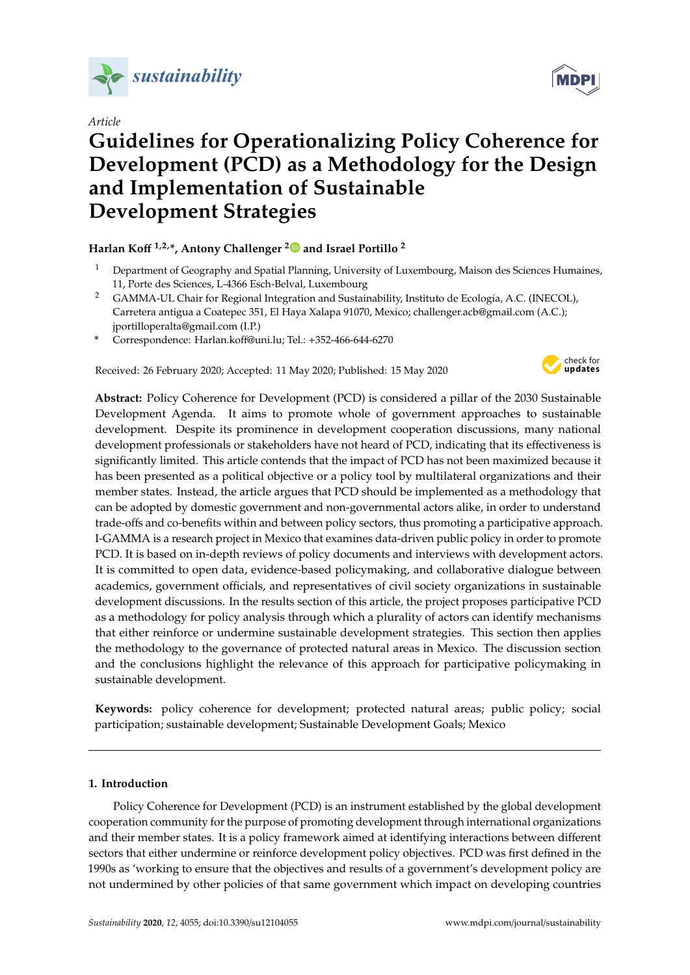

*Article*

# **Guidelines for Operationalizing Policy Coherence for Development (PCD) as a Methodology for the Design and Implementation of Sustainable Development Strategies**

## **Harlan Ko**ff **1,2,\*, Antony Challenger [2](https://orcid.org/0000-0002-3181-5910) and Israel Portillo <sup>2</sup>**

- <sup>1</sup> Department of Geography and Spatial Planning, University of Luxembourg, Maison des Sciences Humaines, 11, Porte des Sciences, L-4366 Esch-Belval, Luxembourg
- <sup>2</sup> GAMMA-UL Chair for Regional Integration and Sustainability, Instituto de Ecología, A.C. (INECOL), Carretera antigua a Coatepec 351, El Haya Xalapa 91070, Mexico; challenger.acb@gmail.com (A.C.); jportilloperalta@gmail.com (I.P.)
- **\*** Correspondence: Harlan.koff@uni.lu; Tel.: +352-466-644-6270

Received: 26 February 2020; Accepted: 11 May 2020; Published: 15 May 2020



**Abstract:** Policy Coherence for Development (PCD) is considered a pillar of the 2030 Sustainable Development Agenda. It aims to promote whole of government approaches to sustainable development. Despite its prominence in development cooperation discussions, many national development professionals or stakeholders have not heard of PCD, indicating that its effectiveness is significantly limited. This article contends that the impact of PCD has not been maximized because it has been presented as a political objective or a policy tool by multilateral organizations and their member states. Instead, the article argues that PCD should be implemented as a methodology that can be adopted by domestic government and non-governmental actors alike, in order to understand trade-offs and co-benefits within and between policy sectors, thus promoting a participative approach. I-GAMMA is a research project in Mexico that examines data-driven public policy in order to promote PCD. It is based on in-depth reviews of policy documents and interviews with development actors. It is committed to open data, evidence-based policymaking, and collaborative dialogue between academics, government officials, and representatives of civil society organizations in sustainable development discussions. In the results section of this article, the project proposes participative PCD as a methodology for policy analysis through which a plurality of actors can identify mechanisms that either reinforce or undermine sustainable development strategies. This section then applies the methodology to the governance of protected natural areas in Mexico. The discussion section and the conclusions highlight the relevance of this approach for participative policymaking in sustainable development.

**Keywords:** policy coherence for development; protected natural areas; public policy; social participation; sustainable development; Sustainable Development Goals; Mexico

#### **1. Introduction**

Policy Coherence for Development (PCD) is an instrument established by the global development cooperation community for the purpose of promoting development through international organizations and their member states. It is a policy framework aimed at identifying interactions between different sectors that either undermine or reinforce development policy objectives. PCD was first defined in the 1990s as 'working to ensure that the objectives and results of a government's development policy are not undermined by other policies of that same government which impact on developing countries

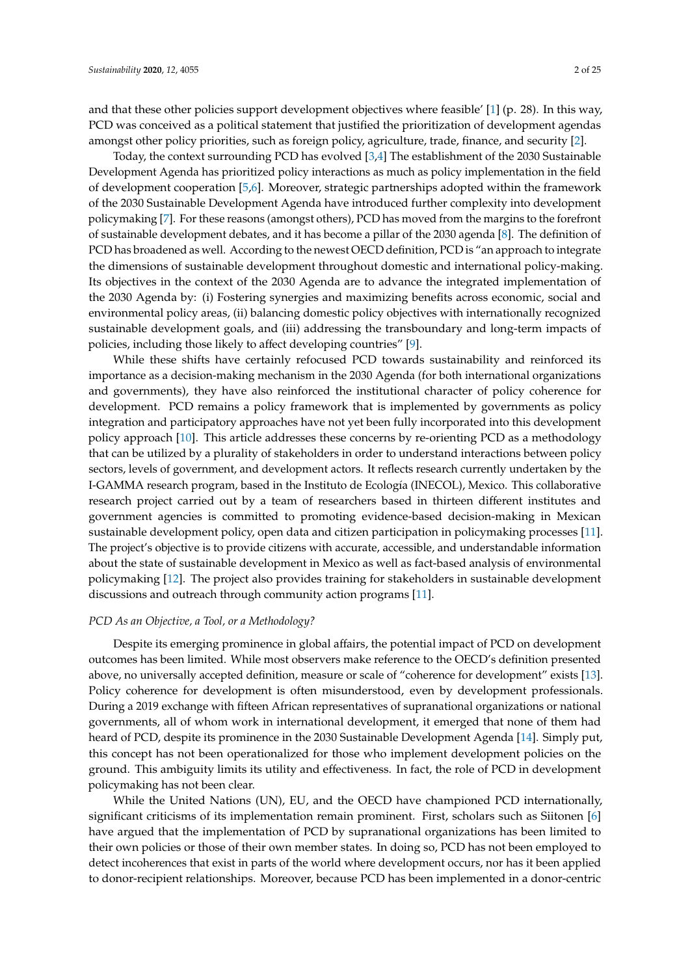and that these other policies support development objectives where feasible' [\[1\]](#page-22-0) (p. 28). In this way, PCD was conceived as a political statement that justified the prioritization of development agendas amongst other policy priorities, such as foreign policy, agriculture, trade, finance, and security [\[2\]](#page-22-1).

Today, the context surrounding PCD has evolved [\[3,](#page-22-2)[4\]](#page-22-3) The establishment of the 2030 Sustainable Development Agenda has prioritized policy interactions as much as policy implementation in the field of development cooperation [\[5](#page-22-4)[,6\]](#page-22-5). Moreover, strategic partnerships adopted within the framework of the 2030 Sustainable Development Agenda have introduced further complexity into development policymaking [\[7\]](#page-22-6). For these reasons (amongst others), PCD has moved from the margins to the forefront of sustainable development debates, and it has become a pillar of the 2030 agenda [\[8\]](#page-22-7). The definition of PCD has broadened as well. According to the newest OECD definition, PCD is "an approach to integrate the dimensions of sustainable development throughout domestic and international policy-making. Its objectives in the context of the 2030 Agenda are to advance the integrated implementation of the 2030 Agenda by: (i) Fostering synergies and maximizing benefits across economic, social and environmental policy areas, (ii) balancing domestic policy objectives with internationally recognized sustainable development goals, and (iii) addressing the transboundary and long-term impacts of policies, including those likely to affect developing countries" [\[9\]](#page-22-8).

While these shifts have certainly refocused PCD towards sustainability and reinforced its importance as a decision-making mechanism in the 2030 Agenda (for both international organizations and governments), they have also reinforced the institutional character of policy coherence for development. PCD remains a policy framework that is implemented by governments as policy integration and participatory approaches have not yet been fully incorporated into this development policy approach [\[10\]](#page-22-9). This article addresses these concerns by re-orienting PCD as a methodology that can be utilized by a plurality of stakeholders in order to understand interactions between policy sectors, levels of government, and development actors. It reflects research currently undertaken by the I-GAMMA research program, based in the Instituto de Ecología (INECOL), Mexico. This collaborative research project carried out by a team of researchers based in thirteen different institutes and government agencies is committed to promoting evidence-based decision-making in Mexican sustainable development policy, open data and citizen participation in policymaking processes [\[11\]](#page-22-10). The project's objective is to provide citizens with accurate, accessible, and understandable information about the state of sustainable development in Mexico as well as fact-based analysis of environmental policymaking [\[12\]](#page-22-11). The project also provides training for stakeholders in sustainable development discussions and outreach through community action programs [\[11\]](#page-22-10).

#### *PCD As an Objective, a Tool, or a Methodology?*

Despite its emerging prominence in global affairs, the potential impact of PCD on development outcomes has been limited. While most observers make reference to the OECD's definition presented above, no universally accepted definition, measure or scale of "coherence for development" exists [\[13\]](#page-22-12). Policy coherence for development is often misunderstood, even by development professionals. During a 2019 exchange with fifteen African representatives of supranational organizations or national governments, all of whom work in international development, it emerged that none of them had heard of PCD, despite its prominence in the 2030 Sustainable Development Agenda [\[14\]](#page-22-13). Simply put, this concept has not been operationalized for those who implement development policies on the ground. This ambiguity limits its utility and effectiveness. In fact, the role of PCD in development policymaking has not been clear.

While the United Nations (UN), EU, and the OECD have championed PCD internationally, significant criticisms of its implementation remain prominent. First, scholars such as Siitonen [\[6\]](#page-22-5) have argued that the implementation of PCD by supranational organizations has been limited to their own policies or those of their own member states. In doing so, PCD has not been employed to detect incoherences that exist in parts of the world where development occurs, nor has it been applied to donor-recipient relationships. Moreover, because PCD has been implemented in a donor-centric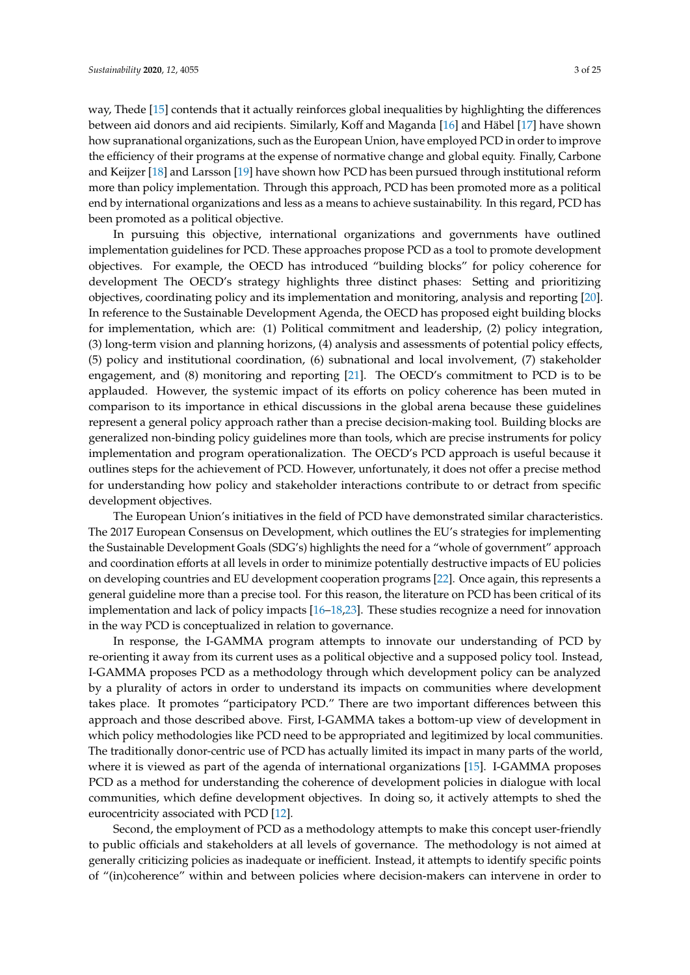way, Thede [\[15\]](#page-22-14) contends that it actually reinforces global inequalities by highlighting the differences between aid donors and aid recipients. Similarly, Koff and Maganda [\[16\]](#page-22-15) and Häbel [\[17\]](#page-22-16) have shown how supranational organizations, such as the European Union, have employed PCD in order to improve the efficiency of their programs at the expense of normative change and global equity. Finally, Carbone and Keijzer [\[18\]](#page-22-17) and Larsson [\[19\]](#page-22-18) have shown how PCD has been pursued through institutional reform more than policy implementation. Through this approach, PCD has been promoted more as a political end by international organizations and less as a means to achieve sustainability. In this regard, PCD has been promoted as a political objective.

In pursuing this objective, international organizations and governments have outlined implementation guidelines for PCD. These approaches propose PCD as a tool to promote development objectives. For example, the OECD has introduced "building blocks" for policy coherence for development The OECD's strategy highlights three distinct phases: Setting and prioritizing objectives, coordinating policy and its implementation and monitoring, analysis and reporting [\[20\]](#page-23-0). In reference to the Sustainable Development Agenda, the OECD has proposed eight building blocks for implementation, which are: (1) Political commitment and leadership, (2) policy integration, (3) long-term vision and planning horizons, (4) analysis and assessments of potential policy effects, (5) policy and institutional coordination, (6) subnational and local involvement, (7) stakeholder engagement, and (8) monitoring and reporting [\[21\]](#page-23-1). The OECD's commitment to PCD is to be applauded. However, the systemic impact of its efforts on policy coherence has been muted in comparison to its importance in ethical discussions in the global arena because these guidelines represent a general policy approach rather than a precise decision-making tool. Building blocks are generalized non-binding policy guidelines more than tools, which are precise instruments for policy implementation and program operationalization. The OECD's PCD approach is useful because it outlines steps for the achievement of PCD. However, unfortunately, it does not offer a precise method for understanding how policy and stakeholder interactions contribute to or detract from specific development objectives.

The European Union's initiatives in the field of PCD have demonstrated similar characteristics. The 2017 European Consensus on Development, which outlines the EU's strategies for implementing the Sustainable Development Goals (SDG's) highlights the need for a "whole of government" approach and coordination efforts at all levels in order to minimize potentially destructive impacts of EU policies on developing countries and EU development cooperation programs [\[22\]](#page-23-2). Once again, this represents a general guideline more than a precise tool. For this reason, the literature on PCD has been critical of its implementation and lack of policy impacts [\[16](#page-22-15)[–18](#page-22-17)[,23\]](#page-23-3). These studies recognize a need for innovation in the way PCD is conceptualized in relation to governance.

In response, the I-GAMMA program attempts to innovate our understanding of PCD by re-orienting it away from its current uses as a political objective and a supposed policy tool. Instead, I-GAMMA proposes PCD as a methodology through which development policy can be analyzed by a plurality of actors in order to understand its impacts on communities where development takes place. It promotes "participatory PCD." There are two important differences between this approach and those described above. First, I-GAMMA takes a bottom-up view of development in which policy methodologies like PCD need to be appropriated and legitimized by local communities. The traditionally donor-centric use of PCD has actually limited its impact in many parts of the world, where it is viewed as part of the agenda of international organizations [\[15\]](#page-22-14). I-GAMMA proposes PCD as a method for understanding the coherence of development policies in dialogue with local communities, which define development objectives. In doing so, it actively attempts to shed the eurocentricity associated with PCD [\[12\]](#page-22-11).

Second, the employment of PCD as a methodology attempts to make this concept user-friendly to public officials and stakeholders at all levels of governance. The methodology is not aimed at generally criticizing policies as inadequate or inefficient. Instead, it attempts to identify specific points of "(in)coherence" within and between policies where decision-makers can intervene in order to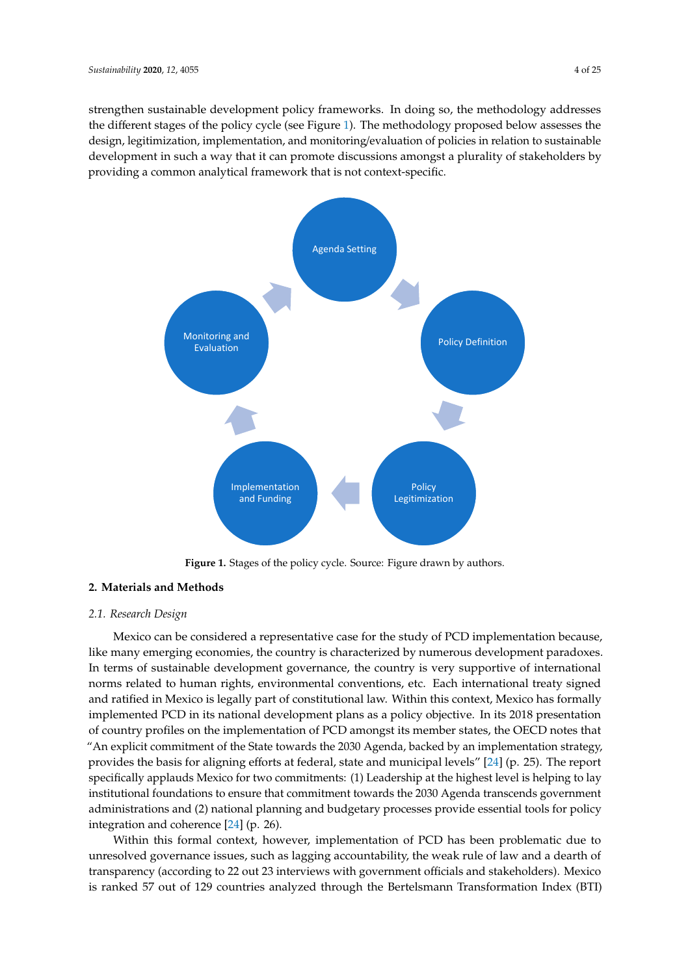strengthen sustainable development policy frameworks. In doing so, the methodology addresses the different stages of the policy cycle (see Figure [1\)](#page-3-0). The methodology proposed below assesses the design, legitimization, implementation, and monitoring/evaluation of policies in relation to sustainable development in such a way that it can promote discussions amongst a plurality of stakeholders by providing a common analytical framework that is not context-specific. design, legitimization, implementation, and monitoring/evaluation of policies in relation to sustainable<br>development in such a way that it can promote discussions amongst a plurality of stakeholders by<br>providing a common a

<span id="page-3-0"></span>

**Figure 1.** Stages of the policy cycle. Source**:** Figure drawn by authors. **Figure 1.** Stages of the policy cycle. Source: Figure drawn by authors.

## *2.* **Materials and Methods 2. Materials and Methods**

#### *2.1. Research Design*

*2.1. Research Design*  like many emerging economies, the country is characterized by numerous development paradoxes. In terms of sustainable development governance, the country is very supportive of international norms related to human rights, environmental conventions, etc. Each international treaty signed and ratified in Mexico is legally part of constitutional law. Within this context, Mexico has formally implemented PCD in its national development plans as a policy objective. In its 2018 presentation of country profiles on the implementation of PCD amongst its member states, the OECD notes that "An explicit commitment of the State towards the 2030 Agenda, backed by an implementation strategy, provides the basis for aligning efforts at federal, state and municipal levels" [\[24\]](#page-23-4) (p. 25). The report specifically applauds Mexico for two commitments: (1) Leadership at the highest level is helping to lay institutional foundations to ensure that commitment towards the 2030 Agenda transcends government administrations and (2) national planning and budgetary processes provide essential tools for policy integration and coherence  $[24]$  (p. 26). Mexico can be considered a representative case for the study of PCD implementation because,

Within this formal context, however, implementation of PCD has been problematic due to unresolved governance issues, such as lagging accountability, the weak rule of law and a dearth of transparency (according to 22 out 23 interviews with government officials and stakeholders). Mexico is ranked 57 out of 129 countries analyzed through the Bertelsmann Transformation Index (BTI) is ranked 129 countries analyzed through through the Bertelsmann Transformation Index (BTI) with  $\frac{1}{2}$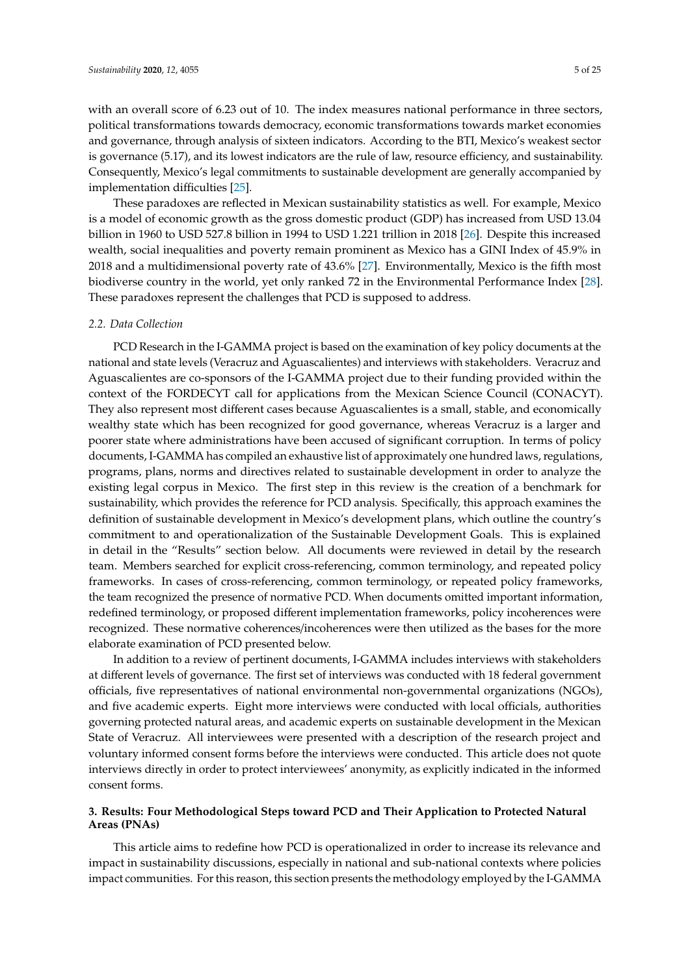with an overall score of 6.23 out of 10. The index measures national performance in three sectors, political transformations towards democracy, economic transformations towards market economies and governance, through analysis of sixteen indicators. According to the BTI, Mexico's weakest sector is governance (5.17), and its lowest indicators are the rule of law, resource efficiency, and sustainability. Consequently, Mexico's legal commitments to sustainable development are generally accompanied by implementation difficulties [\[25\]](#page-23-5).

These paradoxes are reflected in Mexican sustainability statistics as well. For example, Mexico is a model of economic growth as the gross domestic product (GDP) has increased from USD 13.04 billion in 1960 to USD 527.8 billion in 1994 to USD 1.221 trillion in 2018 [\[26\]](#page-23-6). Despite this increased wealth, social inequalities and poverty remain prominent as Mexico has a GINI Index of 45.9% in 2018 and a multidimensional poverty rate of 43.6% [\[27\]](#page-23-7). Environmentally, Mexico is the fifth most biodiverse country in the world, yet only ranked 72 in the Environmental Performance Index [\[28\]](#page-23-8). These paradoxes represent the challenges that PCD is supposed to address.

#### *2.2. Data Collection*

PCD Research in the I-GAMMA project is based on the examination of key policy documents at the national and state levels (Veracruz and Aguascalientes) and interviews with stakeholders. Veracruz and Aguascalientes are co-sponsors of the I-GAMMA project due to their funding provided within the context of the FORDECYT call for applications from the Mexican Science Council (CONACYT). They also represent most different cases because Aguascalientes is a small, stable, and economically wealthy state which has been recognized for good governance, whereas Veracruz is a larger and poorer state where administrations have been accused of significant corruption. In terms of policy documents, I-GAMMA has compiled an exhaustive list of approximately one hundred laws, regulations, programs, plans, norms and directives related to sustainable development in order to analyze the existing legal corpus in Mexico. The first step in this review is the creation of a benchmark for sustainability, which provides the reference for PCD analysis. Specifically, this approach examines the definition of sustainable development in Mexico's development plans, which outline the country's commitment to and operationalization of the Sustainable Development Goals. This is explained in detail in the "Results" section below. All documents were reviewed in detail by the research team. Members searched for explicit cross-referencing, common terminology, and repeated policy frameworks. In cases of cross-referencing, common terminology, or repeated policy frameworks, the team recognized the presence of normative PCD. When documents omitted important information, redefined terminology, or proposed different implementation frameworks, policy incoherences were recognized. These normative coherences/incoherences were then utilized as the bases for the more elaborate examination of PCD presented below.

In addition to a review of pertinent documents, I-GAMMA includes interviews with stakeholders at different levels of governance. The first set of interviews was conducted with 18 federal government officials, five representatives of national environmental non-governmental organizations (NGOs), and five academic experts. Eight more interviews were conducted with local officials, authorities governing protected natural areas, and academic experts on sustainable development in the Mexican State of Veracruz. All interviewees were presented with a description of the research project and voluntary informed consent forms before the interviews were conducted. This article does not quote interviews directly in order to protect interviewees' anonymity, as explicitly indicated in the informed consent forms.

#### **3. Results: Four Methodological Steps toward PCD and Their Application to Protected Natural Areas (PNAs)**

This article aims to redefine how PCD is operationalized in order to increase its relevance and impact in sustainability discussions, especially in national and sub-national contexts where policies impact communities. For this reason, this section presents the methodology employed by the I-GAMMA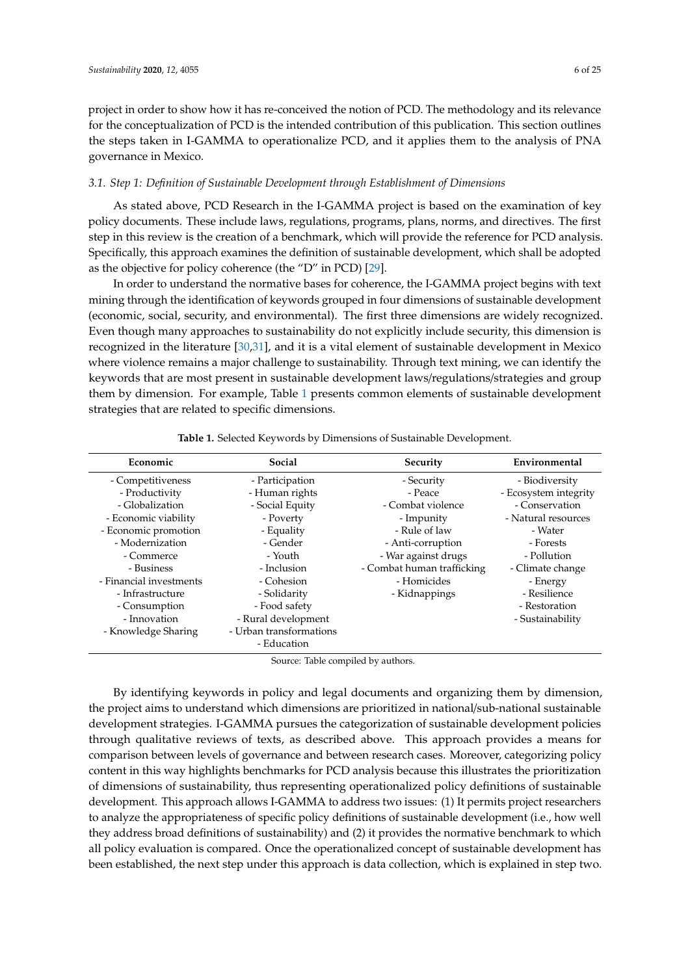project in order to show how it has re-conceived the notion of PCD. The methodology and its relevance for the conceptualization of PCD is the intended contribution of this publication. This section outlines the steps taken in I-GAMMA to operationalize PCD, and it applies them to the analysis of PNA governance in Mexico.

#### *3.1. Step 1: Definition of Sustainable Development through Establishment of Dimensions*

As stated above, PCD Research in the I-GAMMA project is based on the examination of key policy documents. These include laws, regulations, programs, plans, norms, and directives. The first step in this review is the creation of a benchmark, which will provide the reference for PCD analysis. Specifically, this approach examines the definition of sustainable development, which shall be adopted as the objective for policy coherence (the "D" in PCD) [\[29\]](#page-23-9).

In order to understand the normative bases for coherence, the I-GAMMA project begins with text mining through the identification of keywords grouped in four dimensions of sustainable development (economic, social, security, and environmental). The first three dimensions are widely recognized. Even though many approaches to sustainability do not explicitly include security, this dimension is recognized in the literature [\[30](#page-23-10)[,31\]](#page-23-11), and it is a vital element of sustainable development in Mexico where violence remains a major challenge to sustainability. Through text mining, we can identify the keywords that are most present in sustainable development laws/regulations/strategies and group them by dimension. For example, Table [1](#page-5-0) presents common elements of sustainable development strategies that are related to specific dimensions.

<span id="page-5-0"></span>

| Economic                | Social                  | Security                   | Environmental         |
|-------------------------|-------------------------|----------------------------|-----------------------|
| - Competitiveness       | - Participation         | - Security                 | - Biodiversity        |
| - Productivity          | - Human rights          | - Peace                    | - Ecosystem integrity |
| - Globalization         | - Social Equity         | - Combat violence          | - Conservation        |
| - Economic viability    | - Poverty               | - Impunity                 | - Natural resources   |
| - Economic promotion    | - Equality              | - Rule of law              | - Water               |
| - Modernization         | - Gender                | - Anti-corruption          | - Forests             |
| - Commerce              | - Youth                 | - War against drugs        | - Pollution           |
| - Business              | - Inclusion             | - Combat human trafficking | - Climate change      |
| - Financial investments | - Cohesion              | - Homicides                | - Energy              |
| - Infrastructure        | - Solidarity            | - Kidnappings              | - Resilience          |
| - Consumption           | - Food safety           |                            | - Restoration         |
| - Innovation            | - Rural development     |                            | - Sustainability      |
| - Knowledge Sharing     | - Urban transformations |                            |                       |
|                         | - Education             |                            |                       |

**Table 1.** Selected Keywords by Dimensions of Sustainable Development.

Source: Table compiled by authors.

By identifying keywords in policy and legal documents and organizing them by dimension, the project aims to understand which dimensions are prioritized in national/sub-national sustainable development strategies. I-GAMMA pursues the categorization of sustainable development policies through qualitative reviews of texts, as described above. This approach provides a means for comparison between levels of governance and between research cases. Moreover, categorizing policy content in this way highlights benchmarks for PCD analysis because this illustrates the prioritization of dimensions of sustainability, thus representing operationalized policy definitions of sustainable development. This approach allows I-GAMMA to address two issues: (1) It permits project researchers to analyze the appropriateness of specific policy definitions of sustainable development (i.e., how well they address broad definitions of sustainability) and (2) it provides the normative benchmark to which all policy evaluation is compared. Once the operationalized concept of sustainable development has been established, the next step under this approach is data collection, which is explained in step two.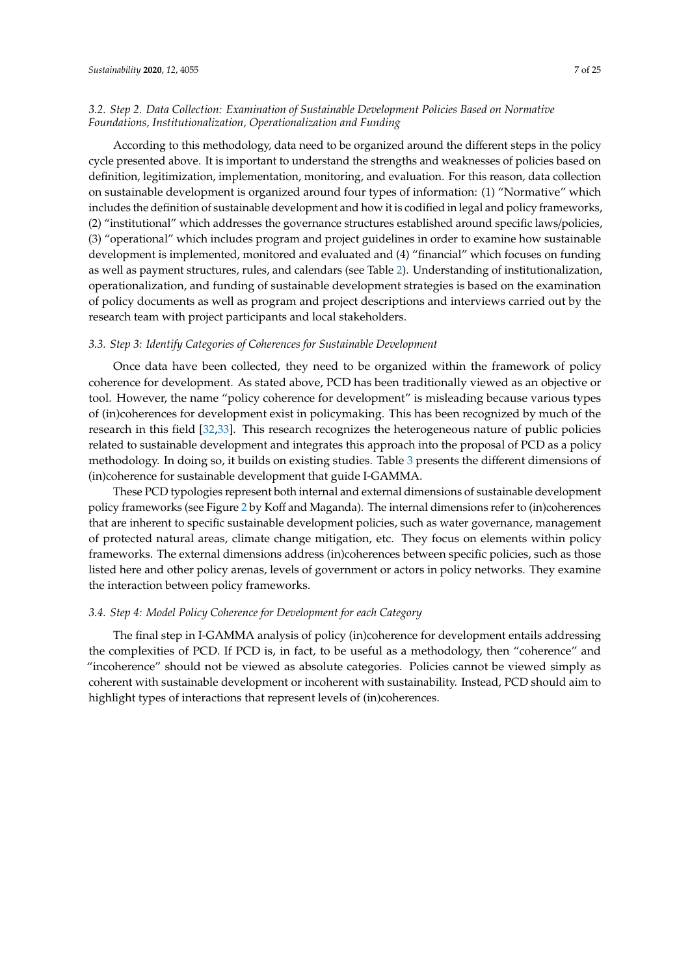#### *3.2. Step 2. Data Collection: Examination of Sustainable Development Policies Based on Normative Foundations, Institutionalization, Operationalization and Funding*

According to this methodology, data need to be organized around the different steps in the policy cycle presented above. It is important to understand the strengths and weaknesses of policies based on definition, legitimization, implementation, monitoring, and evaluation. For this reason, data collection on sustainable development is organized around four types of information: (1) "Normative" which includes the definition of sustainable development and how it is codified in legal and policy frameworks, (2) "institutional" which addresses the governance structures established around specific laws/policies, (3) "operational" which includes program and project guidelines in order to examine how sustainable development is implemented, monitored and evaluated and (4) "financial" which focuses on funding as well as payment structures, rules, and calendars (see Table [2\)](#page-8-0). Understanding of institutionalization, operationalization, and funding of sustainable development strategies is based on the examination of policy documents as well as program and project descriptions and interviews carried out by the research team with project participants and local stakeholders.

#### *3.3. Step 3: Identify Categories of Coherences for Sustainable Development*

Once data have been collected, they need to be organized within the framework of policy coherence for development. As stated above, PCD has been traditionally viewed as an objective or tool. However, the name "policy coherence for development" is misleading because various types of (in)coherences for development exist in policymaking. This has been recognized by much of the research in this field [\[32](#page-23-12)[,33\]](#page-23-13). This research recognizes the heterogeneous nature of public policies related to sustainable development and integrates this approach into the proposal of PCD as a policy methodology. In doing so, it builds on existing studies. Table [3](#page-9-0) presents the different dimensions of (in)coherence for sustainable development that guide I-GAMMA.

These PCD typologies represent both internal and external dimensions of sustainable development policy frameworks (see Figure [2](#page-9-1) by Koff and Maganda). The internal dimensions refer to (in)coherences that are inherent to specific sustainable development policies, such as water governance, management of protected natural areas, climate change mitigation, etc. They focus on elements within policy frameworks. The external dimensions address (in)coherences between specific policies, such as those listed here and other policy arenas, levels of government or actors in policy networks. They examine the interaction between policy frameworks.

#### *3.4. Step 4: Model Policy Coherence for Development for each Category*

The final step in I-GAMMA analysis of policy (in)coherence for development entails addressing the complexities of PCD. If PCD is, in fact, to be useful as a methodology, then "coherence" and "incoherence" should not be viewed as absolute categories. Policies cannot be viewed simply as coherent with sustainable development or incoherent with sustainability. Instead, PCD should aim to highlight types of interactions that represent levels of (in)coherences.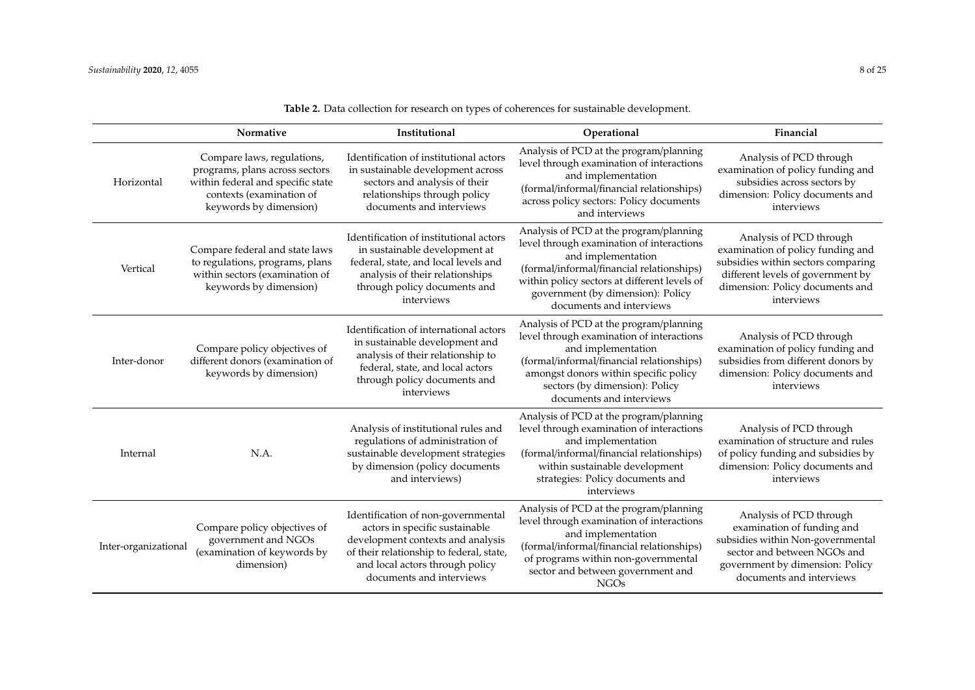|                      | Normative                                                                                                                                               | Institutional                                                                                                                                                                                                        | Operational                                                                                                                                                                                                                                                              | Financial                                                                                                                                                                                |
|----------------------|---------------------------------------------------------------------------------------------------------------------------------------------------------|----------------------------------------------------------------------------------------------------------------------------------------------------------------------------------------------------------------------|--------------------------------------------------------------------------------------------------------------------------------------------------------------------------------------------------------------------------------------------------------------------------|------------------------------------------------------------------------------------------------------------------------------------------------------------------------------------------|
| Horizontal           | Compare laws, regulations,<br>programs, plans across sectors<br>within federal and specific state<br>contexts (examination of<br>keywords by dimension) | Identification of institutional actors<br>in sustainable development across<br>sectors and analysis of their<br>relationships through policy<br>documents and interviews                                             | Analysis of PCD at the program/planning<br>level through examination of interactions<br>and implementation<br>(formal/informal/financial relationships)<br>across policy sectors: Policy documents<br>and interviews                                                     | Analysis of PCD through<br>examination of policy funding and<br>subsidies across sectors by<br>dimension: Policy documents and<br>interviews                                             |
| Vertical             | Compare federal and state laws<br>to regulations, programs, plans<br>within sectors (examination of<br>keywords by dimension)                           | Identification of institutional actors<br>in sustainable development at<br>federal, state, and local levels and<br>analysis of their relationships<br>through policy documents and<br>interviews                     | Analysis of PCD at the program/planning<br>level through examination of interactions<br>and implementation<br>(formal/informal/financial relationships)<br>within policy sectors at different levels of<br>government (by dimension): Policy<br>documents and interviews | Analysis of PCD through<br>examination of policy funding and<br>subsidies within sectors comparing<br>different levels of government by<br>dimension: Policy documents and<br>interviews |
| Inter-donor          | Compare policy objectives of<br>different donors (examination of<br>keywords by dimension)                                                              | Identification of international actors<br>in sustainable development and<br>analysis of their relationship to<br>federal, state, and local actors<br>through policy documents and<br>interviews                      | Analysis of PCD at the program/planning<br>level through examination of interactions<br>and implementation<br>(formal/informal/financial relationships)<br>amongst donors within specific policy<br>sectors (by dimension): Policy<br>documents and interviews           | Analysis of PCD through<br>examination of policy funding and<br>subsidies from different donors by<br>dimension: Policy documents and<br>interviews                                      |
| Internal             | N.A.                                                                                                                                                    | Analysis of institutional rules and<br>regulations of administration of<br>sustainable development strategies<br>by dimension (policy documents<br>and interviews)                                                   | Analysis of PCD at the program/planning<br>level through examination of interactions<br>and implementation<br>(formal/informal/financial relationships)<br>within sustainable development<br>strategies: Policy documents and<br>interviews                              | Analysis of PCD through<br>examination of structure and rules<br>of policy funding and subsidies by<br>dimension: Policy documents and<br>interviews                                     |
| Inter-organizational | Compare policy objectives of<br>government and NGOs<br>(examination of keywords by<br>dimension)                                                        | Identification of non-governmental<br>actors in specific sustainable<br>development contexts and analysis<br>of their relationship to federal, state,<br>and local actors through policy<br>documents and interviews | Analysis of PCD at the program/planning<br>level through examination of interactions<br>and implementation<br>(formal/informal/financial relationships)<br>of programs within non-governmental<br>sector and between government and<br><b>NGOs</b>                       | Analysis of PCD through<br>examination of funding and<br>subsidies within Non-governmental<br>sector and between NGOs and<br>government by dimension: Policy<br>documents and interviews |

**Table 2.** Data collection for research on types of coherences for sustainable development.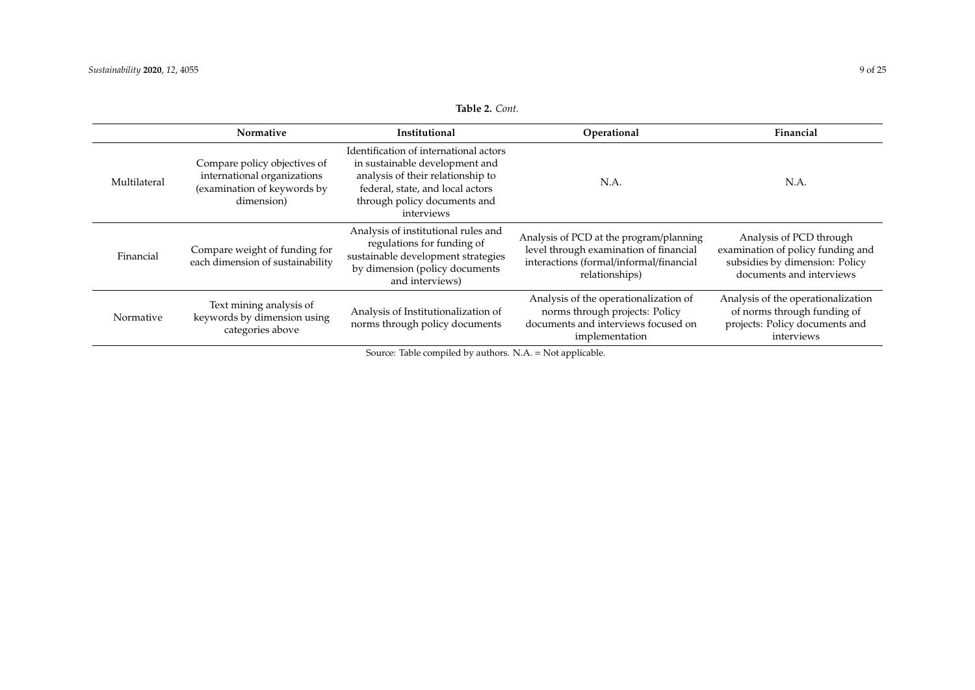| <b>Table 2.</b> Cont. |  |
|-----------------------|--|
|-----------------------|--|

<span id="page-8-0"></span>

|              | Normative                                                                                                | Institutional                                                                                                                                                                                   | Operational                                                                                                                                    | Financial                                                                                                                  |
|--------------|----------------------------------------------------------------------------------------------------------|-------------------------------------------------------------------------------------------------------------------------------------------------------------------------------------------------|------------------------------------------------------------------------------------------------------------------------------------------------|----------------------------------------------------------------------------------------------------------------------------|
| Multilateral | Compare policy objectives of<br>international organizations<br>(examination of keywords by<br>dimension) | Identification of international actors<br>in sustainable development and<br>analysis of their relationship to<br>federal, state, and local actors<br>through policy documents and<br>interviews | N.A.                                                                                                                                           | N.A.                                                                                                                       |
| Financial    | Compare weight of funding for<br>each dimension of sustainability                                        | Analysis of institutional rules and<br>regulations for funding of<br>sustainable development strategies<br>by dimension (policy documents<br>and interviews)                                    | Analysis of PCD at the program/planning<br>level through examination of financial<br>interactions (formal/informal/financial<br>relationships) | Analysis of PCD through<br>examination of policy funding and<br>subsidies by dimension: Policy<br>documents and interviews |
| Normative    | Text mining analysis of<br>keywords by dimension using<br>categories above                               | Analysis of Institutionalization of<br>norms through policy documents                                                                                                                           | Analysis of the operationalization of<br>norms through projects: Policy<br>documents and interviews focused on<br>implementation               | Analysis of the operationalization<br>of norms through funding of<br>projects: Policy documents and<br>interviews          |

Source: Table compiled by authors. N.A. = Not applicable.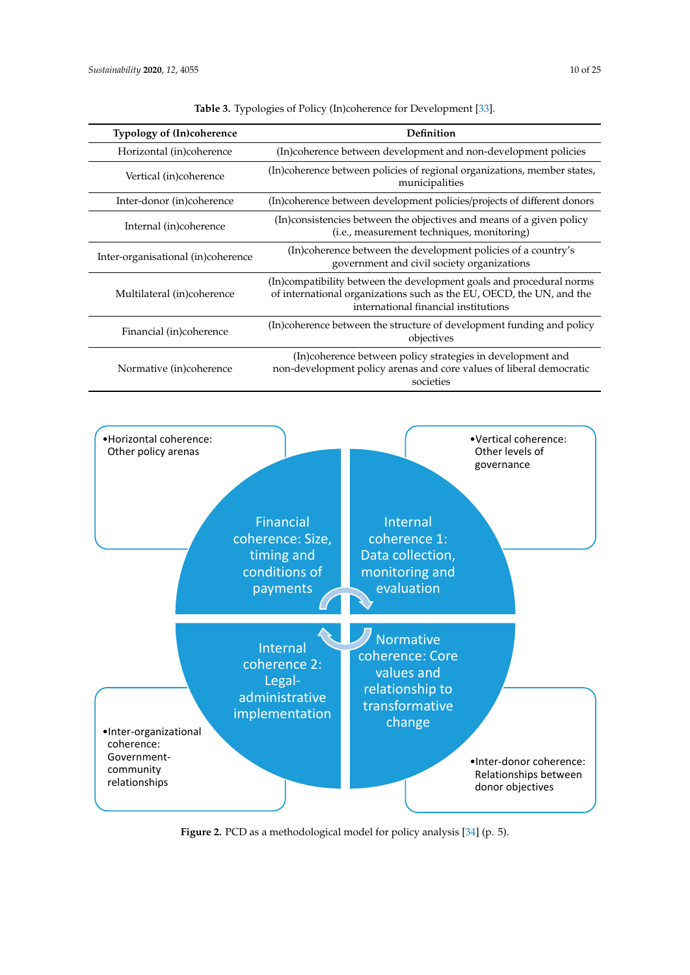<span id="page-9-0"></span>

| <b>Typology of (In)coherence</b>   | Definition                                                                                                                                                                           |
|------------------------------------|--------------------------------------------------------------------------------------------------------------------------------------------------------------------------------------|
| Horizontal (in)coherence           | (In)coherence between development and non-development policies                                                                                                                       |
| Vertical (in)coherence             | (In)coherence between policies of regional organizations, member states,<br>municipalities                                                                                           |
| Inter-donor (in)coherence          | (In)coherence between development policies/projects of different donors                                                                                                              |
| Internal (in)coherence             | (In) consistencies between the objectives and means of a given policy<br>(i.e., measurement techniques, monitoring)                                                                  |
| Inter-organisational (in)coherence | (In)coherence between the development policies of a country's<br>government and civil society organizations                                                                          |
| Multilateral (in)coherence         | (In)compatibility between the development goals and procedural norms<br>of international organizations such as the EU, OECD, the UN, and the<br>international financial institutions |
| Financial (in)coherence            | (In)coherence between the structure of development funding and policy<br>objectives                                                                                                  |
| Normative (in)coherence            | (In)coherence between policy strategies in development and<br>non-development policy arenas and core values of liberal democratic<br>societies                                       |

**Table 3.** Typologies of Policy (In)coherence for Development [\[33\]](#page-23-13).

<span id="page-9-1"></span>

**Figure 2.** PCD as a methodological model for policy analysis [34] (p. 5). **Figure 2.** PCD as a methodological model for policy analysis [\[34\]](#page-23-14) (p. 5).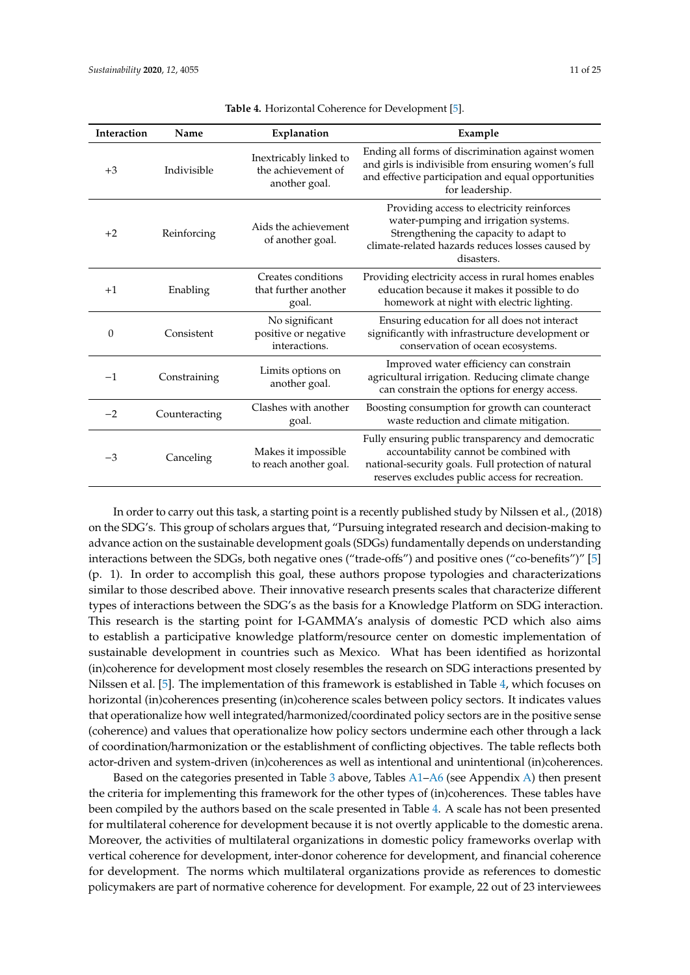<span id="page-10-0"></span>

| <b>Interaction</b> | Name          | Explanation                                                   | Example                                                                                                                                                                                               |
|--------------------|---------------|---------------------------------------------------------------|-------------------------------------------------------------------------------------------------------------------------------------------------------------------------------------------------------|
| $+3$               | Indivisible   | Inextricably linked to<br>the achievement of<br>another goal. | Ending all forms of discrimination against women<br>and girls is indivisible from ensuring women's full<br>and effective participation and equal opportunities<br>for leadership.                     |
| $+2$               | Reinforcing   | Aids the achievement<br>of another goal.                      | Providing access to electricity reinforces<br>water-pumping and irrigation systems.<br>Strengthening the capacity to adapt to<br>climate-related hazards reduces losses caused by<br>disasters.       |
| $+1$               | Enabling      | Creates conditions<br>that further another<br>goal.           | Providing electricity access in rural homes enables<br>education because it makes it possible to do<br>homework at night with electric lighting.                                                      |
| $\Omega$           | Consistent    | No significant<br>positive or negative<br>interactions.       | Ensuring education for all does not interact<br>significantly with infrastructure development or<br>conservation of ocean ecosystems.                                                                 |
| $-1$               | Constraining  | Limits options on<br>another goal.                            | Improved water efficiency can constrain<br>agricultural irrigation. Reducing climate change<br>can constrain the options for energy access.                                                           |
| $-2$               | Counteracting | Clashes with another<br>goal.                                 | Boosting consumption for growth can counteract<br>waste reduction and climate mitigation.                                                                                                             |
| $-3$               | Canceling     | Makes it impossible<br>to reach another goal.                 | Fully ensuring public transparency and democratic<br>accountability cannot be combined with<br>national-security goals. Full protection of natural<br>reserves excludes public access for recreation. |

**Table 4.** Horizontal Coherence for Development [\[5\]](#page-22-4).

In order to carry out this task, a starting point is a recently published study by Nilssen et al., (2018) on the SDG's. This group of scholars argues that, "Pursuing integrated research and decision-making to advance action on the sustainable development goals (SDGs) fundamentally depends on understanding interactions between the SDGs, both negative ones ("trade-offs") and positive ones ("co-benefits")" [\[5\]](#page-22-4) (p. 1). In order to accomplish this goal, these authors propose typologies and characterizations similar to those described above. Their innovative research presents scales that characterize different types of interactions between the SDG's as the basis for a Knowledge Platform on SDG interaction. This research is the starting point for I-GAMMA's analysis of domestic PCD which also aims to establish a participative knowledge platform/resource center on domestic implementation of sustainable development in countries such as Mexico. What has been identified as horizontal (in)coherence for development most closely resembles the research on SDG interactions presented by Nilssen et al. [\[5\]](#page-22-4). The implementation of this framework is established in Table [4,](#page-10-0) which focuses on horizontal (in)coherences presenting (in)coherence scales between policy sectors. It indicates values that operationalize how well integrated/harmonized/coordinated policy sectors are in the positive sense (coherence) and values that operationalize how policy sectors undermine each other through a lack of coordination/harmonization or the establishment of conflicting objectives. The table reflects both actor-driven and system-driven (in)coherences as well as intentional and unintentional (in)coherences.

Based on the categories presented in Table [3](#page-9-0) above, Tables [A1](#page-19-0)[–A6](#page-22-19) (see Appendix [A\)](#page-19-1) then present the criteria for implementing this framework for the other types of (in)coherences. These tables have been compiled by the authors based on the scale presented in Table [4.](#page-10-0) A scale has not been presented for multilateral coherence for development because it is not overtly applicable to the domestic arena. Moreover, the activities of multilateral organizations in domestic policy frameworks overlap with vertical coherence for development, inter-donor coherence for development, and financial coherence for development. The norms which multilateral organizations provide as references to domestic policymakers are part of normative coherence for development. For example, 22 out of 23 interviewees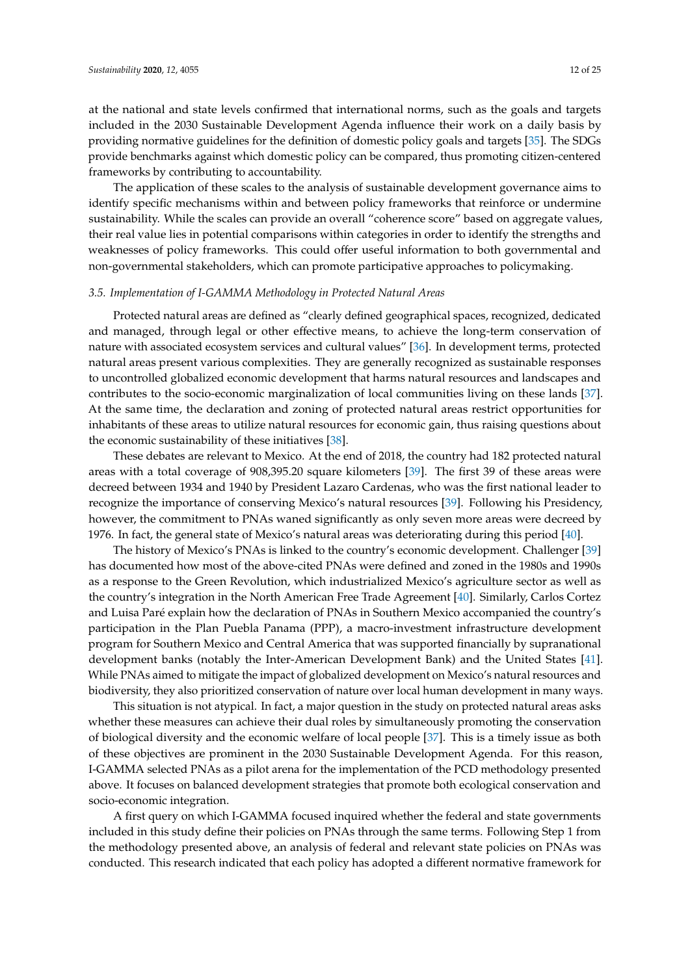at the national and state levels confirmed that international norms, such as the goals and targets included in the 2030 Sustainable Development Agenda influence their work on a daily basis by providing normative guidelines for the definition of domestic policy goals and targets [\[35\]](#page-23-15). The SDGs provide benchmarks against which domestic policy can be compared, thus promoting citizen-centered frameworks by contributing to accountability.

The application of these scales to the analysis of sustainable development governance aims to identify specific mechanisms within and between policy frameworks that reinforce or undermine sustainability. While the scales can provide an overall "coherence score" based on aggregate values, their real value lies in potential comparisons within categories in order to identify the strengths and weaknesses of policy frameworks. This could offer useful information to both governmental and non-governmental stakeholders, which can promote participative approaches to policymaking.

#### *3.5. Implementation of I-GAMMA Methodology in Protected Natural Areas*

Protected natural areas are defined as "clearly defined geographical spaces, recognized, dedicated and managed, through legal or other effective means, to achieve the long-term conservation of nature with associated ecosystem services and cultural values" [\[36\]](#page-23-16). In development terms, protected natural areas present various complexities. They are generally recognized as sustainable responses to uncontrolled globalized economic development that harms natural resources and landscapes and contributes to the socio-economic marginalization of local communities living on these lands [\[37\]](#page-23-17). At the same time, the declaration and zoning of protected natural areas restrict opportunities for inhabitants of these areas to utilize natural resources for economic gain, thus raising questions about the economic sustainability of these initiatives [\[38\]](#page-23-18).

These debates are relevant to Mexico. At the end of 2018, the country had 182 protected natural areas with a total coverage of 908,395.20 square kilometers [\[39\]](#page-23-19). The first 39 of these areas were decreed between 1934 and 1940 by President Lazaro Cardenas, who was the first national leader to recognize the importance of conserving Mexico's natural resources [\[39\]](#page-23-19). Following his Presidency, however, the commitment to PNAs waned significantly as only seven more areas were decreed by 1976. In fact, the general state of Mexico's natural areas was deteriorating during this period [\[40\]](#page-23-20).

The history of Mexico's PNAs is linked to the country's economic development. Challenger [\[39\]](#page-23-19) has documented how most of the above-cited PNAs were defined and zoned in the 1980s and 1990s as a response to the Green Revolution, which industrialized Mexico's agriculture sector as well as the country's integration in the North American Free Trade Agreement [\[40\]](#page-23-20). Similarly, Carlos Cortez and Luisa Paré explain how the declaration of PNAs in Southern Mexico accompanied the country's participation in the Plan Puebla Panama (PPP), a macro-investment infrastructure development program for Southern Mexico and Central America that was supported financially by supranational development banks (notably the Inter-American Development Bank) and the United States [\[41\]](#page-23-21). While PNAs aimed to mitigate the impact of globalized development on Mexico's natural resources and biodiversity, they also prioritized conservation of nature over local human development in many ways.

This situation is not atypical. In fact, a major question in the study on protected natural areas asks whether these measures can achieve their dual roles by simultaneously promoting the conservation of biological diversity and the economic welfare of local people [\[37\]](#page-23-17). This is a timely issue as both of these objectives are prominent in the 2030 Sustainable Development Agenda. For this reason, I-GAMMA selected PNAs as a pilot arena for the implementation of the PCD methodology presented above. It focuses on balanced development strategies that promote both ecological conservation and socio-economic integration.

A first query on which I-GAMMA focused inquired whether the federal and state governments included in this study define their policies on PNAs through the same terms. Following Step 1 from the methodology presented above, an analysis of federal and relevant state policies on PNAs was conducted. This research indicated that each policy has adopted a different normative framework for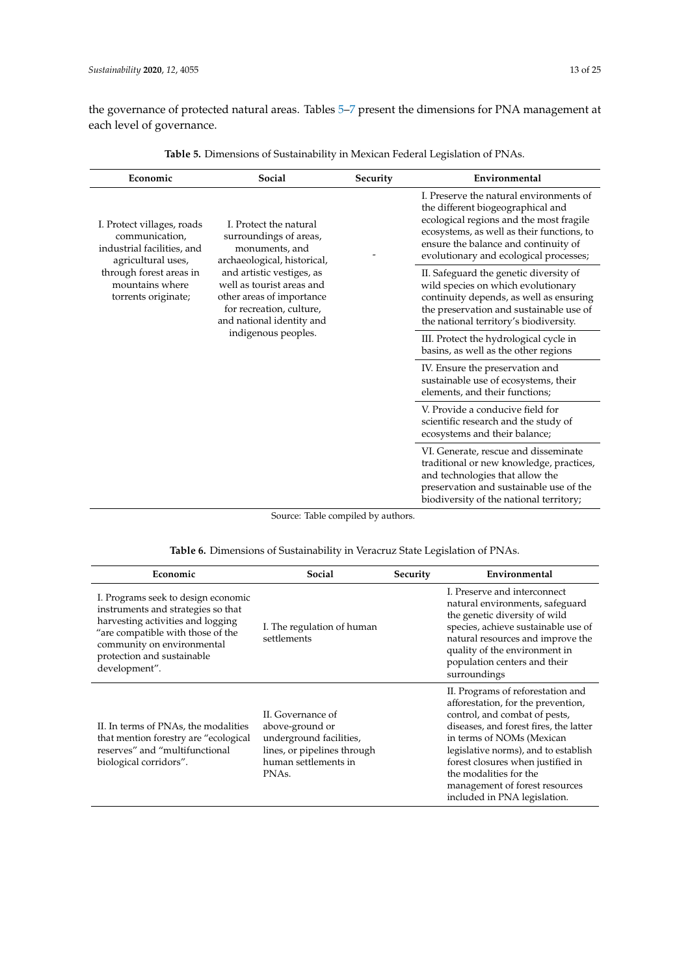the governance of protected natural areas. Tables [5–](#page-12-0)[7](#page-14-0) present the dimensions for PNA management at each level of governance.

<span id="page-12-0"></span>

| Economic                                                                                                                                                                                              | Social                                                                                                                                       | Security | Environmental                                                                                                                                                                                                                                           |
|-------------------------------------------------------------------------------------------------------------------------------------------------------------------------------------------------------|----------------------------------------------------------------------------------------------------------------------------------------------|----------|---------------------------------------------------------------------------------------------------------------------------------------------------------------------------------------------------------------------------------------------------------|
| I. Protect the natural<br>I. Protect villages, roads<br>surroundings of areas,<br>communication,<br>industrial facilities, and<br>monuments, and<br>archaeological, historical,<br>agricultural uses, |                                                                                                                                              |          | L. Preserve the natural environments of<br>the different biogeographical and<br>ecological regions and the most fragile<br>ecosystems, as well as their functions, to<br>ensure the balance and continuity of<br>evolutionary and ecological processes; |
| through forest areas in<br>mountains where<br>torrents originate;                                                                                                                                     | and artistic vestiges, as<br>well as tourist areas and<br>other areas of importance<br>for recreation, culture,<br>and national identity and |          | II. Safeguard the genetic diversity of<br>wild species on which evolutionary<br>continuity depends, as well as ensuring<br>the preservation and sustainable use of<br>the national territory's biodiversity.                                            |
|                                                                                                                                                                                                       | indigenous peoples.                                                                                                                          |          | III. Protect the hydrological cycle in<br>basins, as well as the other regions                                                                                                                                                                          |
|                                                                                                                                                                                                       |                                                                                                                                              |          | IV. Ensure the preservation and<br>sustainable use of ecosystems, their<br>elements, and their functions;                                                                                                                                               |
|                                                                                                                                                                                                       |                                                                                                                                              |          | V. Provide a conducive field for<br>scientific research and the study of<br>ecosystems and their balance;                                                                                                                                               |
|                                                                                                                                                                                                       |                                                                                                                                              |          | VI. Generate, rescue and disseminate<br>traditional or new knowledge, practices,<br>and technologies that allow the<br>preservation and sustainable use of the<br>biodiversity of the national territory;                                               |

**Table 5.** Dimensions of Sustainability in Mexican Federal Legislation of PNAs.

Source: Table compiled by authors.

|  |  | <b>Table 6.</b> Dimensions of Sustainability in Veracruz State Legislation of PNAs. |  |
|--|--|-------------------------------------------------------------------------------------|--|
|  |  |                                                                                     |  |

| Economic                                                                                                                                                                                                                         | Social                                                                                                                                       | Security | Environmental                                                                                                                                                                                                                                                                                                                                            |
|----------------------------------------------------------------------------------------------------------------------------------------------------------------------------------------------------------------------------------|----------------------------------------------------------------------------------------------------------------------------------------------|----------|----------------------------------------------------------------------------------------------------------------------------------------------------------------------------------------------------------------------------------------------------------------------------------------------------------------------------------------------------------|
| I. Programs seek to design economic<br>instruments and strategies so that<br>harvesting activities and logging<br>"are compatible with those of the<br>community on environmental<br>protection and sustainable<br>development". | I. The regulation of human<br>settlements                                                                                                    |          | I. Preserve and interconnect<br>natural environments, safeguard<br>the genetic diversity of wild<br>species, achieve sustainable use of<br>natural resources and improve the<br>quality of the environment in<br>population centers and their<br>surroundings                                                                                            |
| II. In terms of PNAs, the modalities<br>that mention forestry are "ecological<br>reserves" and "multifunctional<br>biological corridors".                                                                                        | II. Governance of<br>above-ground or<br>underground facilities,<br>lines, or pipelines through<br>human settlements in<br>PNA <sub>s</sub> . |          | II. Programs of reforestation and<br>afforestation, for the prevention,<br>control, and combat of pests,<br>diseases, and forest fires, the latter<br>in terms of NOMs (Mexican<br>legislative norms), and to establish<br>forest closures when justified in<br>the modalities for the<br>management of forest resources<br>included in PNA legislation. |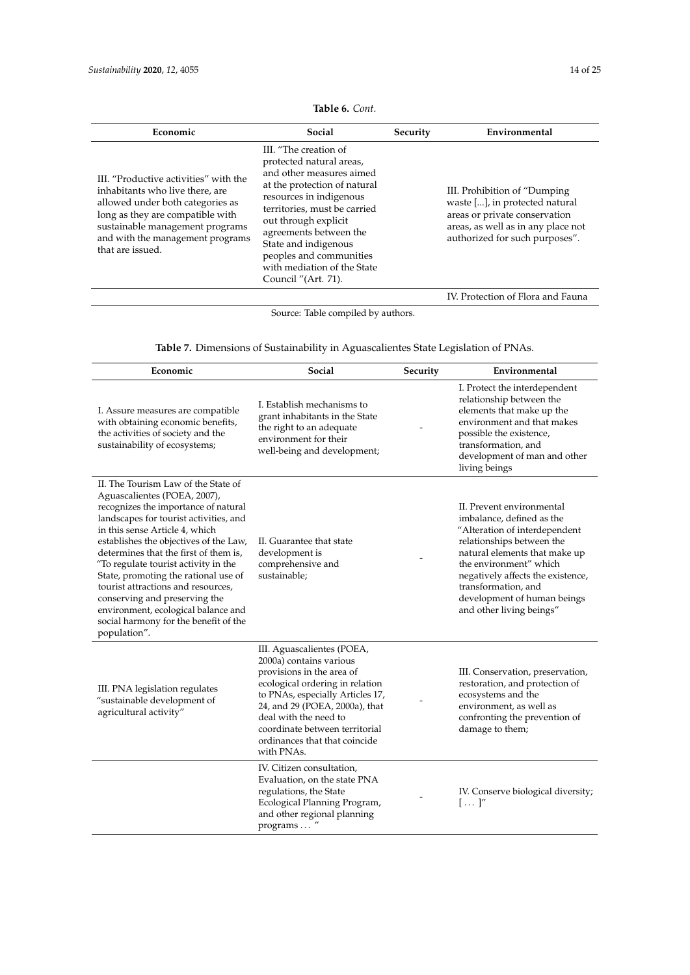|                                                                                                                                                                                                                                             | III. "The creation of<br>protected natural areas,                                                                                                                                                                                                                              |                                                                                                                                                                          |
|---------------------------------------------------------------------------------------------------------------------------------------------------------------------------------------------------------------------------------------------|--------------------------------------------------------------------------------------------------------------------------------------------------------------------------------------------------------------------------------------------------------------------------------|--------------------------------------------------------------------------------------------------------------------------------------------------------------------------|
| III. "Productive activities" with the<br>inhabitants who live there, are<br>allowed under both categories as<br>long as they are compatible with<br>sustainable management programs<br>and with the management programs<br>that are issued. | and other measures aimed<br>at the protection of natural<br>resources in indigenous<br>territories, must be carried<br>out through explicit<br>agreements between the<br>State and indigenous<br>peoples and communities<br>with mediation of the State<br>Council "(Art. 71). | III. Prohibition of "Dumping"<br>waste [], in protected natural<br>areas or private conservation<br>areas, as well as in any place not<br>authorized for such purposes". |

**Table 6.** *Cont.*

Source: Table compiled by authors.

**Table 7.** Dimensions of Sustainability in Aguascalientes State Legislation of PNAs.

| Economic                                                                                                                                                                                                                                                                                                                                                                                                                                                                                                                          | Social                                                                                                                                                                                                                                                                                                | Security | Environmental                                                                                                                                                                                                                                                                                          |
|-----------------------------------------------------------------------------------------------------------------------------------------------------------------------------------------------------------------------------------------------------------------------------------------------------------------------------------------------------------------------------------------------------------------------------------------------------------------------------------------------------------------------------------|-------------------------------------------------------------------------------------------------------------------------------------------------------------------------------------------------------------------------------------------------------------------------------------------------------|----------|--------------------------------------------------------------------------------------------------------------------------------------------------------------------------------------------------------------------------------------------------------------------------------------------------------|
| I. Assure measures are compatible<br>with obtaining economic benefits,<br>the activities of society and the<br>sustainability of ecosystems;                                                                                                                                                                                                                                                                                                                                                                                      | I. Establish mechanisms to<br>grant inhabitants in the State<br>the right to an adequate<br>environment for their<br>well-being and development;                                                                                                                                                      |          | I. Protect the interdependent<br>relationship between the<br>elements that make up the<br>environment and that makes<br>possible the existence,<br>transformation, and<br>development of man and other<br>living beings                                                                                |
| II. The Tourism Law of the State of<br>Aguascalientes (POEA, 2007),<br>recognizes the importance of natural<br>landscapes for tourist activities, and<br>in this sense Article 4, which<br>establishes the objectives of the Law,<br>determines that the first of them is,<br>"To regulate tourist activity in the<br>State, promoting the rational use of<br>tourist attractions and resources,<br>conserving and preserving the<br>environment, ecological balance and<br>social harmony for the benefit of the<br>population". | II. Guarantee that state<br>development is<br>comprehensive and<br>sustainable;                                                                                                                                                                                                                       |          | II. Prevent environmental<br>imbalance, defined as the<br>"Alteration of interdependent<br>relationships between the<br>natural elements that make up<br>the environment" which<br>negatively affects the existence,<br>transformation, and<br>development of human beings<br>and other living beings" |
| III. PNA legislation regulates<br>"sustainable development of<br>agricultural activity"                                                                                                                                                                                                                                                                                                                                                                                                                                           | III. Aguascalientes (POEA,<br>2000a) contains various<br>provisions in the area of<br>ecological ordering in relation<br>to PNAs, especially Articles 17,<br>24, and 29 (POEA, 2000a), that<br>deal with the need to<br>coordinate between territorial<br>ordinances that that coincide<br>with PNAs. |          | III. Conservation, preservation,<br>restoration, and protection of<br>ecosystems and the<br>environment, as well as<br>confronting the prevention of<br>damage to them;                                                                                                                                |
|                                                                                                                                                                                                                                                                                                                                                                                                                                                                                                                                   | IV. Citizen consultation,<br>Evaluation, on the state PNA<br>regulations, the State<br>Ecological Planning Program,<br>and other regional planning<br>programs  "                                                                                                                                     |          | IV. Conserve biological diversity;<br>$[\ldots]''$                                                                                                                                                                                                                                                     |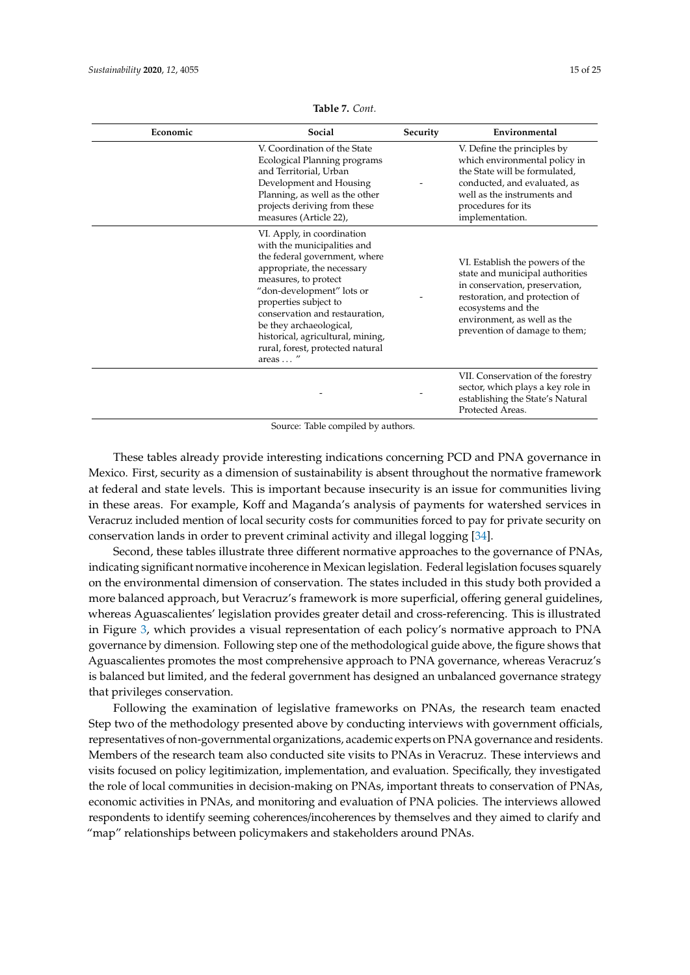<span id="page-14-0"></span>

| Economic | Social                                                                                                                                                                                                                                                                                                                                                   | Security | Environmental                                                                                                                                                                                                                |
|----------|----------------------------------------------------------------------------------------------------------------------------------------------------------------------------------------------------------------------------------------------------------------------------------------------------------------------------------------------------------|----------|------------------------------------------------------------------------------------------------------------------------------------------------------------------------------------------------------------------------------|
|          | V. Coordination of the State<br>Ecological Planning programs<br>and Territorial, Urban<br>Development and Housing<br>Planning, as well as the other<br>projects deriving from these<br>measures (Article 22),                                                                                                                                            |          | V. Define the principles by<br>which environmental policy in<br>the State will be formulated,<br>conducted, and evaluated, as<br>well as the instruments and<br>procedures for its<br>implementation.                        |
|          | VI. Apply, in coordination<br>with the municipalities and<br>the federal government, where<br>appropriate, the necessary<br>measures, to protect<br>"don-development" lots or<br>properties subject to<br>conservation and restauration,<br>be they archaeological,<br>historical, agricultural, mining,<br>rural, forest, protected natural<br>areas  " |          | VI. Establish the powers of the<br>state and municipal authorities<br>in conservation, preservation,<br>restoration, and protection of<br>ecosystems and the<br>environment, as well as the<br>prevention of damage to them; |
|          |                                                                                                                                                                                                                                                                                                                                                          |          | VII. Conservation of the forestry<br>sector, which plays a key role in<br>establishing the State's Natural<br>Protected Areas.                                                                                               |

**Table 7.** *Cont.*

Source: Table compiled by authors.

These tables already provide interesting indications concerning PCD and PNA governance in Mexico. First, security as a dimension of sustainability is absent throughout the normative framework at federal and state levels. This is important because insecurity is an issue for communities living in these areas. For example, Koff and Maganda's analysis of payments for watershed services in Veracruz included mention of local security costs for communities forced to pay for private security on conservation lands in order to prevent criminal activity and illegal logging [\[34\]](#page-23-14).

Second, these tables illustrate three different normative approaches to the governance of PNAs, indicating significant normative incoherence in Mexican legislation. Federal legislation focuses squarely on the environmental dimension of conservation. The states included in this study both provided a more balanced approach, but Veracruz's framework is more superficial, offering general guidelines, whereas Aguascalientes' legislation provides greater detail and cross-referencing. This is illustrated in Figure [3,](#page-15-0) which provides a visual representation of each policy's normative approach to PNA governance by dimension. Following step one of the methodological guide above, the figure shows that Aguascalientes promotes the most comprehensive approach to PNA governance, whereas Veracruz's is balanced but limited, and the federal government has designed an unbalanced governance strategy that privileges conservation.

Following the examination of legislative frameworks on PNAs, the research team enacted Step two of the methodology presented above by conducting interviews with government officials, representatives of non-governmental organizations, academic experts on PNA governance and residents. Members of the research team also conducted site visits to PNAs in Veracruz. These interviews and visits focused on policy legitimization, implementation, and evaluation. Specifically, they investigated the role of local communities in decision-making on PNAs, important threats to conservation of PNAs, economic activities in PNAs, and monitoring and evaluation of PNA policies. The interviews allowed respondents to identify seeming coherences/incoherences by themselves and they aimed to clarify and "map" relationships between policymakers and stakeholders around PNAs.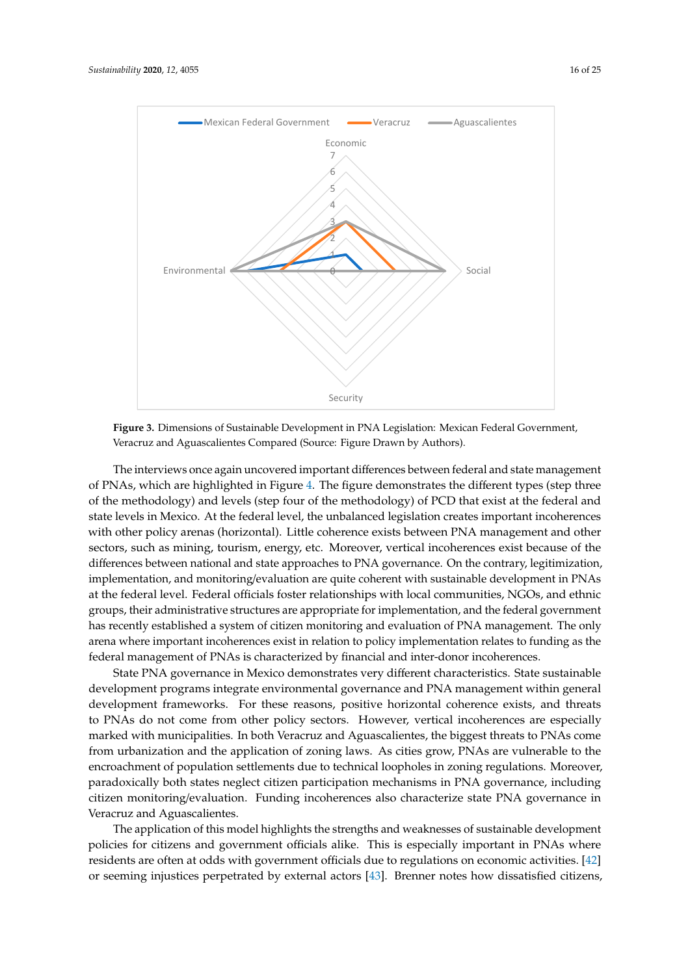

<span id="page-15-0"></span>

**Figure 3.** Dimensions of Sustainable Development in PNA Legislation: Mexican Federal Government, **Figure 3.** Dimensions of Sustainable Development in PNA Legislation: Mexican Federal Government, Veracruz and Aguascalientes Compared (Source: Figure Drawn by Authors). Veracruz and Aguascalientes Compared (Source: Figure Drawn by Authors).

The interviews once again uncovered important differences between federal and state management of PNAs, which are highlighted in Figure 4. The figure demonstrates the different types (step three of the methodology) and levels (step four of the methodology) of PCD that exist at the federal and state levels in Mexico. At the federal level, the unbalanced legislation creates important incoherences with other policy arenas (horizontal). Little coherence exists between PNA management and other sectors, such as mining, tourism, energy, etc. Moreover, vertical incoherences exist because of the differences between national and state approaches to PNA governance. On the contrary, legitimization, implementation, and monitoring/evaluation are quite coherent with sustainable development in PNAs at the federal level. Federal officials foster relationships with local communities, NGOs, and ethnic groups, their administrative structures are appropriate for implementation, and the federal government has recently established a system of citizen monitoring and evaluation of PNA management. The only arena where important incoherences exist in relation to policy implementation relates to funding as the federal management of PNAs is characterized by financial and inter-donor incoherences.

State PNA governance in Mexico demonstrates very different characteristics. State sustainable development programs integrate environmental governance and PNA management within general development frameworks. For these reasons, positive horizontal coherence exists, and threats to PNAs do not come from other policy sectors. However, vertical incoherences are especially marked with municipalities. In both Veracruz and Aguascalientes, the biggest threats to PNAs come from urbanization and the application of zoning laws. As cities grow, PNAs are vulnerable to the encroachment of population settlements due to technical loopholes in zoning regulations. Moreover, paradoxically both states neglect citizen participation mechanisms in PNA governance, including citizen monitoring/evaluation. Funding incoherences also characterize state PNA governance in Veracruz and Aguascalientes.

The application of this model highlights the strengths and weaknesses of sustainable development policies for citizens and government officials alike. This is especially important in PNAs where residents are often at odds with government officials due to regulations on economic activities. [\[42\]](#page-23-22) or seeming injustices perpetrated by external actors [\[43\]](#page-24-0). Brenner notes how dissatisfied citizens,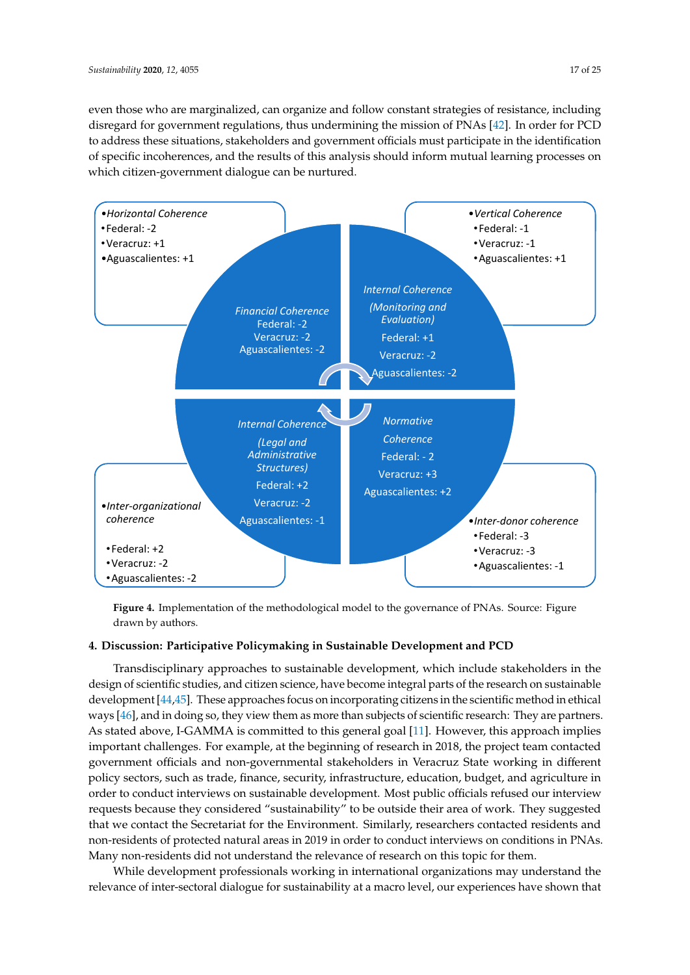even those who are marginalized, can organize and follow constant strategies of resistance, including disregard for government regulations, thus undermining the mission of PNAs [\[42\]](#page-23-22). In order for PCD to address these situations, stakeholders and government officials must participate in the identification of specific incoherences, and the results of this analysis should inform mutual learning processes on which citizen-government dialogue can be nurtured.

<span id="page-16-0"></span>

**Figure 4.** Implementation of the methodological model to the governance of PNAs. Source: Figure drawn by authors.

#### **Figure 4.** Implementation of the methodological model to the governance of PNAs. Source: Figure 4. Discussion: Participative Policymaking in Sustainable Development and PCD

design of scientific studies, and citizen science, have become integral parts of the research on sustainable development [\[44](#page-24-1)[,45\]](#page-24-2). These approaches focus on incorporating citizens in the scientific method in ethical ways [\[46\]](#page-24-3), and in doing so, they view them as more than subjects of scientific research: They are partners. As stated above, I-GAMMA is committed to this general goal [\[11\]](#page-22-10). However, this approach implies Transdisciplinary approaches to sustainable development, which include stakeholders in the important challenges. For example, at the beginning of research in 2018, the project team contacted government officials and non-governmental stakeholders in Veracruz State working in different policy sectors, such as trade, finance, security, infrastructure, education, budget, and agriculture in order to conduct interviews on sustainable development. Most public officials refused our interview requests because they considered "sustainability" to be outside their area of work. They suggested that we contact the Secretariat for the Environment. Similarly, researchers contacted residents and non-residents of protected natural areas in 2019 in order to conduct interviews on conditions in PNAs. Many non-residents did not understand the relevance of research on this topic for them.

While development professionals working in international organizations may understand the relevance of inter-sectoral dialogue for sustainability at a macro level, our experiences have shown that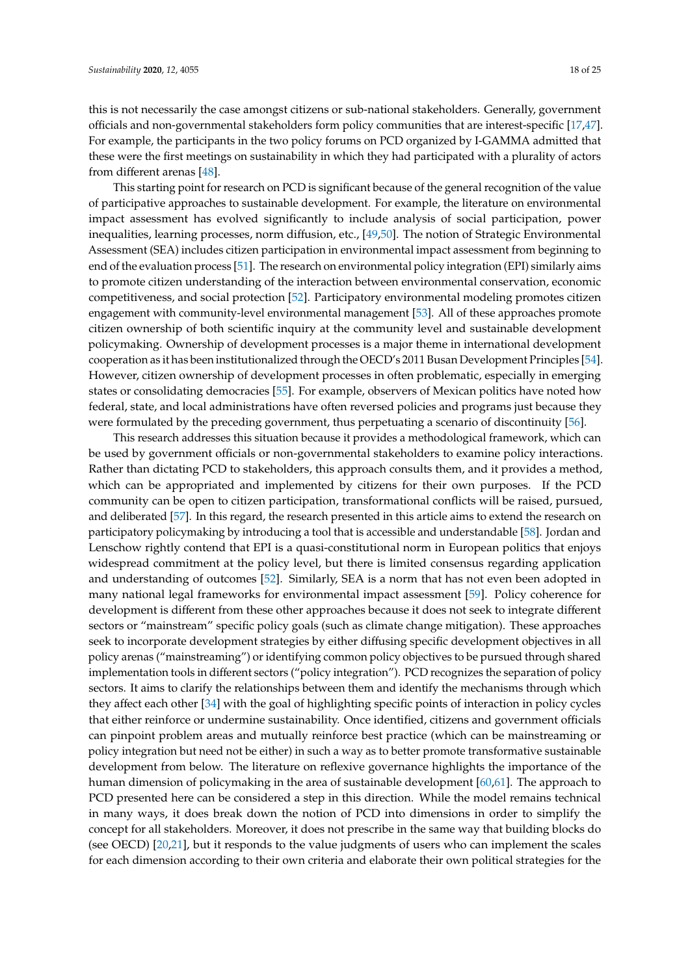this is not necessarily the case amongst citizens or sub-national stakeholders. Generally, government officials and non-governmental stakeholders form policy communities that are interest-specific [\[17](#page-22-16)[,47\]](#page-24-4). For example, the participants in the two policy forums on PCD organized by I-GAMMA admitted that these were the first meetings on sustainability in which they had participated with a plurality of actors from different arenas [\[48\]](#page-24-5).

This starting point for research on PCD is significant because of the general recognition of the value of participative approaches to sustainable development. For example, the literature on environmental impact assessment has evolved significantly to include analysis of social participation, power inequalities, learning processes, norm diffusion, etc., [\[49,](#page-24-6)[50\]](#page-24-7). The notion of Strategic Environmental Assessment (SEA) includes citizen participation in environmental impact assessment from beginning to end of the evaluation process [\[51\]](#page-24-8). The research on environmental policy integration (EPI) similarly aims to promote citizen understanding of the interaction between environmental conservation, economic competitiveness, and social protection [\[52\]](#page-24-9). Participatory environmental modeling promotes citizen engagement with community-level environmental management [\[53\]](#page-24-10). All of these approaches promote citizen ownership of both scientific inquiry at the community level and sustainable development policymaking. Ownership of development processes is a major theme in international development cooperation as it has been institutionalized through the OECD's 2011 Busan Development Principles [\[54\]](#page-24-11). However, citizen ownership of development processes in often problematic, especially in emerging states or consolidating democracies [\[55\]](#page-24-12). For example, observers of Mexican politics have noted how federal, state, and local administrations have often reversed policies and programs just because they were formulated by the preceding government, thus perpetuating a scenario of discontinuity [\[56\]](#page-24-13).

This research addresses this situation because it provides a methodological framework, which can be used by government officials or non-governmental stakeholders to examine policy interactions. Rather than dictating PCD to stakeholders, this approach consults them, and it provides a method, which can be appropriated and implemented by citizens for their own purposes. If the PCD community can be open to citizen participation, transformational conflicts will be raised, pursued, and deliberated [\[57\]](#page-24-14). In this regard, the research presented in this article aims to extend the research on participatory policymaking by introducing a tool that is accessible and understandable [\[58\]](#page-24-15). Jordan and Lenschow rightly contend that EPI is a quasi-constitutional norm in European politics that enjoys widespread commitment at the policy level, but there is limited consensus regarding application and understanding of outcomes [\[52\]](#page-24-9). Similarly, SEA is a norm that has not even been adopted in many national legal frameworks for environmental impact assessment [\[59\]](#page-24-16). Policy coherence for development is different from these other approaches because it does not seek to integrate different sectors or "mainstream" specific policy goals (such as climate change mitigation). These approaches seek to incorporate development strategies by either diffusing specific development objectives in all policy arenas ("mainstreaming") or identifying common policy objectives to be pursued through shared implementation tools in different sectors ("policy integration"). PCD recognizes the separation of policy sectors. It aims to clarify the relationships between them and identify the mechanisms through which they affect each other [\[34\]](#page-23-14) with the goal of highlighting specific points of interaction in policy cycles that either reinforce or undermine sustainability. Once identified, citizens and government officials can pinpoint problem areas and mutually reinforce best practice (which can be mainstreaming or policy integration but need not be either) in such a way as to better promote transformative sustainable development from below. The literature on reflexive governance highlights the importance of the human dimension of policymaking in the area of sustainable development [\[60,](#page-24-17)[61\]](#page-24-18). The approach to PCD presented here can be considered a step in this direction. While the model remains technical in many ways, it does break down the notion of PCD into dimensions in order to simplify the concept for all stakeholders. Moreover, it does not prescribe in the same way that building blocks do (see OECD) [\[20](#page-23-0)[,21\]](#page-23-1), but it responds to the value judgments of users who can implement the scales for each dimension according to their own criteria and elaborate their own political strategies for the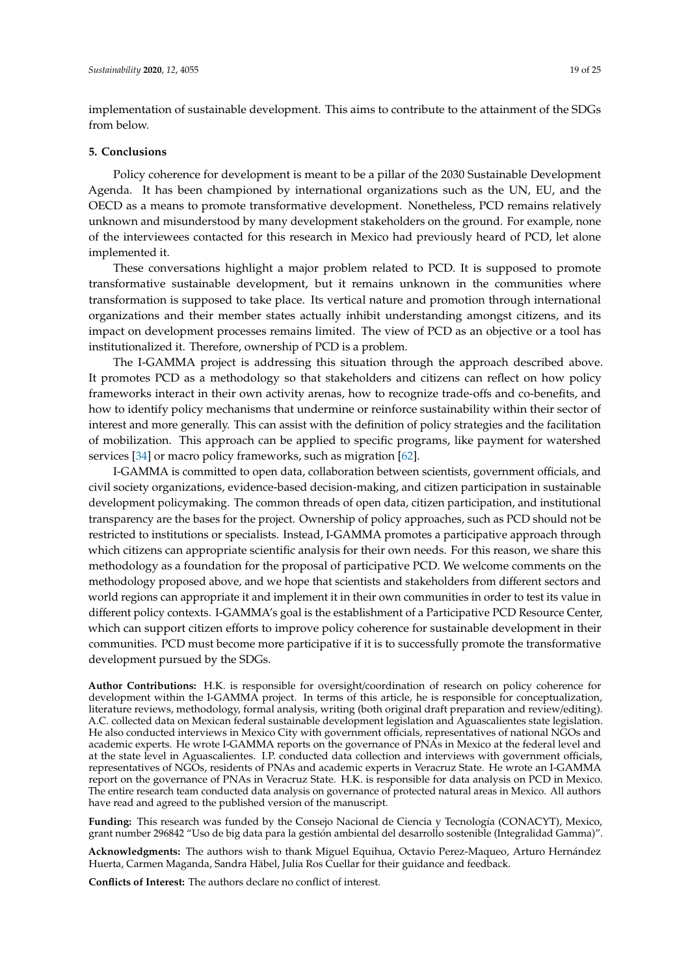implementation of sustainable development. This aims to contribute to the attainment of the SDGs from below.

#### **5. Conclusions**

Policy coherence for development is meant to be a pillar of the 2030 Sustainable Development Agenda. It has been championed by international organizations such as the UN, EU, and the OECD as a means to promote transformative development. Nonetheless, PCD remains relatively unknown and misunderstood by many development stakeholders on the ground. For example, none of the interviewees contacted for this research in Mexico had previously heard of PCD, let alone implemented it.

These conversations highlight a major problem related to PCD. It is supposed to promote transformative sustainable development, but it remains unknown in the communities where transformation is supposed to take place. Its vertical nature and promotion through international organizations and their member states actually inhibit understanding amongst citizens, and its impact on development processes remains limited. The view of PCD as an objective or a tool has institutionalized it. Therefore, ownership of PCD is a problem.

The I-GAMMA project is addressing this situation through the approach described above. It promotes PCD as a methodology so that stakeholders and citizens can reflect on how policy frameworks interact in their own activity arenas, how to recognize trade-offs and co-benefits, and how to identify policy mechanisms that undermine or reinforce sustainability within their sector of interest and more generally. This can assist with the definition of policy strategies and the facilitation of mobilization. This approach can be applied to specific programs, like payment for watershed services [\[34\]](#page-23-14) or macro policy frameworks, such as migration [\[62\]](#page-24-19).

I-GAMMA is committed to open data, collaboration between scientists, government officials, and civil society organizations, evidence-based decision-making, and citizen participation in sustainable development policymaking. The common threads of open data, citizen participation, and institutional transparency are the bases for the project. Ownership of policy approaches, such as PCD should not be restricted to institutions or specialists. Instead, I-GAMMA promotes a participative approach through which citizens can appropriate scientific analysis for their own needs. For this reason, we share this methodology as a foundation for the proposal of participative PCD. We welcome comments on the methodology proposed above, and we hope that scientists and stakeholders from different sectors and world regions can appropriate it and implement it in their own communities in order to test its value in different policy contexts. I-GAMMA's goal is the establishment of a Participative PCD Resource Center, which can support citizen efforts to improve policy coherence for sustainable development in their communities. PCD must become more participative if it is to successfully promote the transformative development pursued by the SDGs.

**Author Contributions:** H.K. is responsible for oversight/coordination of research on policy coherence for development within the I-GAMMA project. In terms of this article, he is responsible for conceptualization, literature reviews, methodology, formal analysis, writing (both original draft preparation and review/editing). A.C. collected data on Mexican federal sustainable development legislation and Aguascalientes state legislation. He also conducted interviews in Mexico City with government officials, representatives of national NGOs and academic experts. He wrote I-GAMMA reports on the governance of PNAs in Mexico at the federal level and at the state level in Aguascalientes. I.P. conducted data collection and interviews with government officials, representatives of NGOs, residents of PNAs and academic experts in Veracruz State. He wrote an I-GAMMA report on the governance of PNAs in Veracruz State. H.K. is responsible for data analysis on PCD in Mexico. The entire research team conducted data analysis on governance of protected natural areas in Mexico. All authors have read and agreed to the published version of the manuscript.

**Funding:** This research was funded by the Consejo Nacional de Ciencia y Tecnología (CONACYT), Mexico, grant number 296842 "Uso de big data para la gestión ambiental del desarrollo sostenible (Integralidad Gamma)".

**Acknowledgments:** The authors wish to thank Miguel Equihua, Octavio Perez-Maqueo, Arturo Hernández Huerta, Carmen Maganda, Sandra Häbel, Julia Ros Cuellar for their guidance and feedback.

**Conflicts of Interest:** The authors declare no conflict of interest.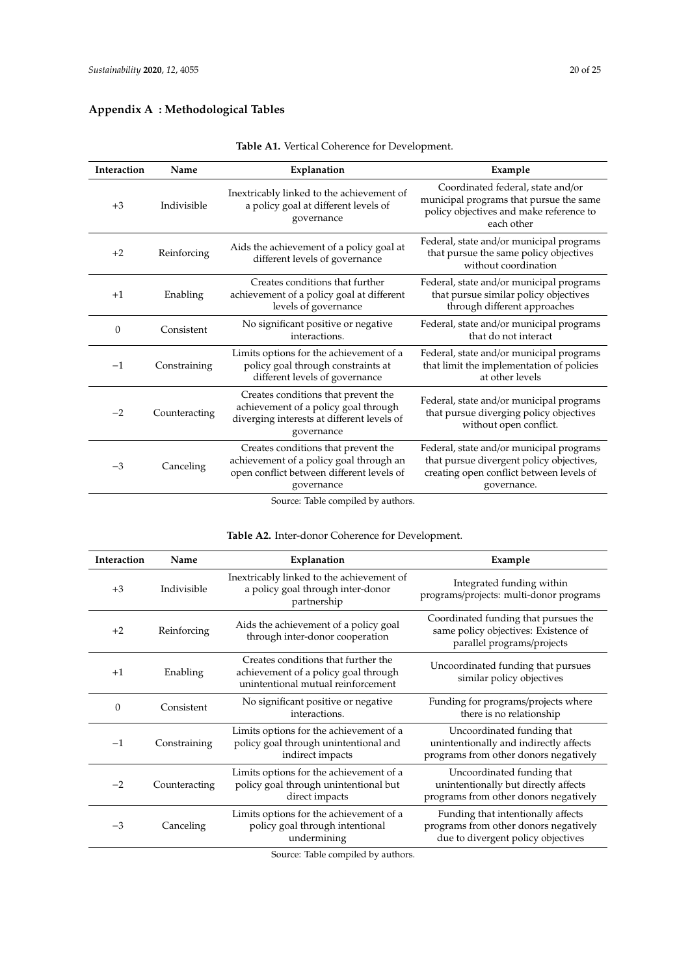## <span id="page-19-1"></span>**Appendix A : Methodological Tables**

<span id="page-19-0"></span>

| Interaction      | Name          | Explanation                                                                                                                               | Example                                                                                                                                         |
|------------------|---------------|-------------------------------------------------------------------------------------------------------------------------------------------|-------------------------------------------------------------------------------------------------------------------------------------------------|
| $+3$             | Indivisible   | Inextricably linked to the achievement of<br>a policy goal at different levels of<br>governance                                           | Coordinated federal, state and/or<br>municipal programs that pursue the same<br>policy objectives and make reference to<br>each other           |
| $+2$             | Reinforcing   | Aids the achievement of a policy goal at<br>different levels of governance                                                                | Federal, state and/or municipal programs<br>that pursue the same policy objectives<br>without coordination                                      |
| $+1$             | Enabling      | Creates conditions that further<br>achievement of a policy goal at different<br>levels of governance                                      | Federal, state and/or municipal programs<br>that pursue similar policy objectives<br>through different approaches                               |
| $\boldsymbol{0}$ | Consistent    | No significant positive or negative<br>interactions.                                                                                      | Federal, state and/or municipal programs<br>that do not interact                                                                                |
| $-1$             | Constraining  | Limits options for the achievement of a<br>policy goal through constraints at<br>different levels of governance                           | Federal, state and/or municipal programs<br>that limit the implementation of policies<br>at other levels                                        |
| $-2$             | Counteracting | Creates conditions that prevent the<br>achievement of a policy goal through<br>diverging interests at different levels of<br>governance   | Federal, state and/or municipal programs<br>that pursue diverging policy objectives<br>without open conflict.                                   |
| $-3$             | Canceling     | Creates conditions that prevent the<br>achievement of a policy goal through an<br>open conflict between different levels of<br>governance | Federal, state and/or municipal programs<br>that pursue divergent policy objectives,<br>creating open conflict between levels of<br>governance. |
|                  |               | Coursey Table committed by outhout                                                                                                        |                                                                                                                                                 |

**Table A1.** Vertical Coherence for Development.

Source: Table compiled by authors.

### **Table A2.** Inter-donor Coherence for Development.

| Interaction | Name          | Explanation                                                                                                       | Example                                                                                                           |
|-------------|---------------|-------------------------------------------------------------------------------------------------------------------|-------------------------------------------------------------------------------------------------------------------|
| $+3$        | Indivisible   | Inextricably linked to the achievement of<br>a policy goal through inter-donor<br>partnership                     | Integrated funding within<br>programs/projects: multi-donor programs                                              |
| $+2$        | Reinforcing   | Aids the achievement of a policy goal<br>through inter-donor cooperation                                          | Coordinated funding that pursues the<br>same policy objectives: Existence of<br>parallel programs/projects        |
| $+1$        | Enabling      | Creates conditions that further the<br>achievement of a policy goal through<br>unintentional mutual reinforcement | Uncoordinated funding that pursues<br>similar policy objectives                                                   |
| 0           | Consistent    | No significant positive or negative<br>interactions.                                                              | Funding for programs/projects where<br>there is no relationship                                                   |
| $-1$        | Constraining  | Limits options for the achievement of a<br>policy goal through unintentional and<br>indirect impacts              | Uncoordinated funding that<br>unintentionally and indirectly affects<br>programs from other donors negatively     |
| $-2$        | Counteracting | Limits options for the achievement of a<br>policy goal through unintentional but<br>direct impacts                | Uncoordinated funding that<br>unintentionally but directly affects<br>programs from other donors negatively       |
| $-3$        | Canceling     | Limits options for the achievement of a<br>policy goal through intentional<br>undermining                         | Funding that intentionally affects<br>programs from other donors negatively<br>due to divergent policy objectives |

Source: Table compiled by authors.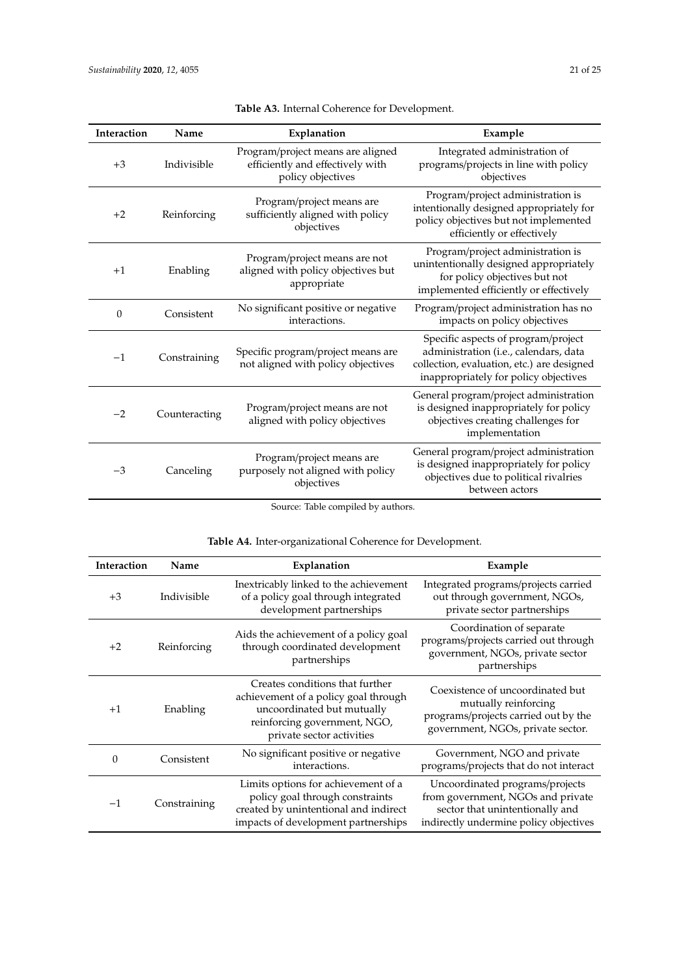| <b>Interaction</b> | Name          | Explanation                                                                                | Example                                                                                                                                                             |
|--------------------|---------------|--------------------------------------------------------------------------------------------|---------------------------------------------------------------------------------------------------------------------------------------------------------------------|
| $+3$               | Indivisible   | Program/project means are aligned<br>efficiently and effectively with<br>policy objectives | Integrated administration of<br>programs/projects in line with policy<br>objectives                                                                                 |
| $+2$               | Reinforcing   | Program/project means are<br>sufficiently aligned with policy<br>objectives                | Program/project administration is<br>intentionally designed appropriately for<br>policy objectives but not implemented<br>efficiently or effectively                |
| $+1$               | Enabling      | Program/project means are not<br>aligned with policy objectives but<br>appropriate         | Program/project administration is<br>unintentionally designed appropriately<br>for policy objectives but not<br>implemented efficiently or effectively              |
| $\theta$           | Consistent    | No significant positive or negative<br>interactions.                                       | Program/project administration has no<br>impacts on policy objectives                                                                                               |
| $-1$               | Constraining  | Specific program/project means are<br>not aligned with policy objectives                   | Specific aspects of program/project<br>administration (i.e., calendars, data<br>collection, evaluation, etc.) are designed<br>inappropriately for policy objectives |
| $-2$               | Counteracting | Program/project means are not<br>aligned with policy objectives                            | General program/project administration<br>is designed inappropriately for policy<br>objectives creating challenges for<br>implementation                            |
| $-3$               | Canceling     | Program/project means are<br>purposely not aligned with policy<br>objectives               | General program/project administration<br>is designed inappropriately for policy<br>objectives due to political rivalries<br>between actors                         |

| <b>Table A3.</b> Internal Coherence for Development. |  |  |
|------------------------------------------------------|--|--|
|------------------------------------------------------|--|--|

Source: Table compiled by authors.

## **Table A4.** Inter-organizational Coherence for Development.

| Interaction | Name         | Explanation                                                                                                                                                        | Example                                                                                                                                           |
|-------------|--------------|--------------------------------------------------------------------------------------------------------------------------------------------------------------------|---------------------------------------------------------------------------------------------------------------------------------------------------|
| $+3$        | Indivisible  | Inextricably linked to the achievement<br>of a policy goal through integrated<br>development partnerships                                                          | Integrated programs/projects carried<br>out through government, NGOs,<br>private sector partnerships                                              |
| $+2$        | Reinforcing  | Aids the achievement of a policy goal<br>through coordinated development<br>partnerships                                                                           | Coordination of separate<br>programs/projects carried out through<br>government, NGOs, private sector<br>partnerships                             |
| $+1$        | Enabling     | Creates conditions that further<br>achievement of a policy goal through<br>uncoordinated but mutually<br>reinforcing government, NGO,<br>private sector activities | Coexistence of uncoordinated but<br>mutually reinforcing<br>programs/projects carried out by the<br>government, NGOs, private sector.             |
| $\Omega$    | Consistent   | No significant positive or negative<br>interactions.                                                                                                               | Government, NGO and private<br>programs/projects that do not interact                                                                             |
| $-1$        | Constraining | Limits options for achievement of a<br>policy goal through constraints<br>created by unintentional and indirect<br>impacts of development partnerships             | Uncoordinated programs/projects<br>from government, NGOs and private<br>sector that unintentionally and<br>indirectly undermine policy objectives |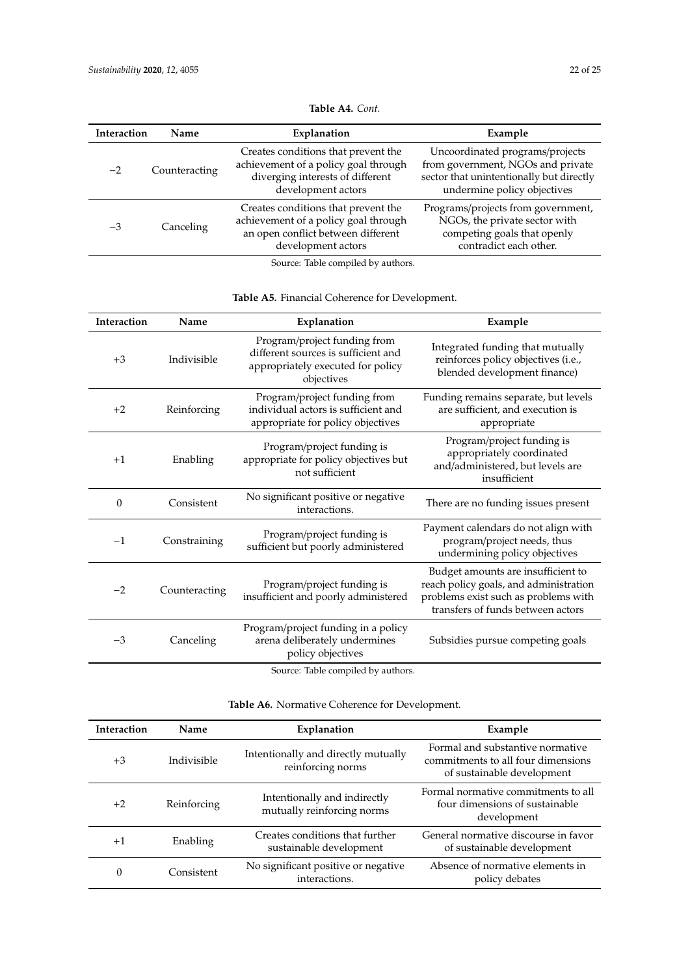| <b>Interaction</b> | Name          | Explanation                                                                                                                             | Example                                                                                                                                         |
|--------------------|---------------|-----------------------------------------------------------------------------------------------------------------------------------------|-------------------------------------------------------------------------------------------------------------------------------------------------|
| $-2$               | Counteracting | Creates conditions that prevent the<br>achievement of a policy goal through<br>diverging interests of different<br>development actors   | Uncoordinated programs/projects<br>from government, NGOs and private<br>sector that unintentionally but directly<br>undermine policy objectives |
| $-3$               | Canceling     | Creates conditions that prevent the<br>achievement of a policy goal through<br>an open conflict between different<br>development actors | Programs/projects from government,<br>NGOs, the private sector with<br>competing goals that openly<br>contradict each other.                    |

## **Table A4.** *Cont.*

Source: Table compiled by authors.

**Table A5.** Financial Coherence for Development.

| Interaction | Name          | Explanation                                                                                                            | Example                                                                                                                                                   |
|-------------|---------------|------------------------------------------------------------------------------------------------------------------------|-----------------------------------------------------------------------------------------------------------------------------------------------------------|
| $+3$        | Indivisible   | Program/project funding from<br>different sources is sufficient and<br>appropriately executed for policy<br>objectives | Integrated funding that mutually<br>reinforces policy objectives (i.e.,<br>blended development finance)                                                   |
| $+2$        | Reinforcing   | Program/project funding from<br>individual actors is sufficient and<br>appropriate for policy objectives               | Funding remains separate, but levels<br>are sufficient, and execution is<br>appropriate                                                                   |
| $+1$        | Enabling      | Program/project funding is<br>appropriate for policy objectives but<br>not sufficient                                  | Program/project funding is<br>appropriately coordinated<br>and/administered, but levels are<br>insufficient                                               |
| $\theta$    | Consistent    | No significant positive or negative<br>interactions.                                                                   | There are no funding issues present                                                                                                                       |
| $-1$        | Constraining  | Program/project funding is<br>sufficient but poorly administered                                                       | Payment calendars do not align with<br>program/project needs, thus<br>undermining policy objectives                                                       |
| $-2$        | Counteracting | Program/project funding is<br>insufficient and poorly administered                                                     | Budget amounts are insufficient to<br>reach policy goals, and administration<br>problems exist such as problems with<br>transfers of funds between actors |
| $-3$        | Canceling     | Program/project funding in a policy<br>arena deliberately undermines<br>policy objectives                              | Subsidies pursue competing goals                                                                                                                          |
|             |               | Course Table compiled by authors                                                                                       |                                                                                                                                                           |

Source: Table compiled by authors.

| <b>Table A6.</b> Normative Coherence for Development. |  |
|-------------------------------------------------------|--|
|-------------------------------------------------------|--|

| <b>Interaction</b> | Name        | Explanation                                                | Example                                                                                              |
|--------------------|-------------|------------------------------------------------------------|------------------------------------------------------------------------------------------------------|
| $+3$               | Indivisible | Intentionally and directly mutually<br>reinforcing norms   | Formal and substantive normative<br>commitments to all four dimensions<br>of sustainable development |
| $+2$               | Reinforcing | Intentionally and indirectly<br>mutually reinforcing norms | Formal normative commitments to all<br>four dimensions of sustainable<br>development                 |
| $+1$               | Enabling    | Creates conditions that further<br>sustainable development | General normative discourse in favor<br>of sustainable development                                   |
| 0                  | Consistent  | No significant positive or negative<br>interactions.       | Absence of normative elements in<br>policy debates                                                   |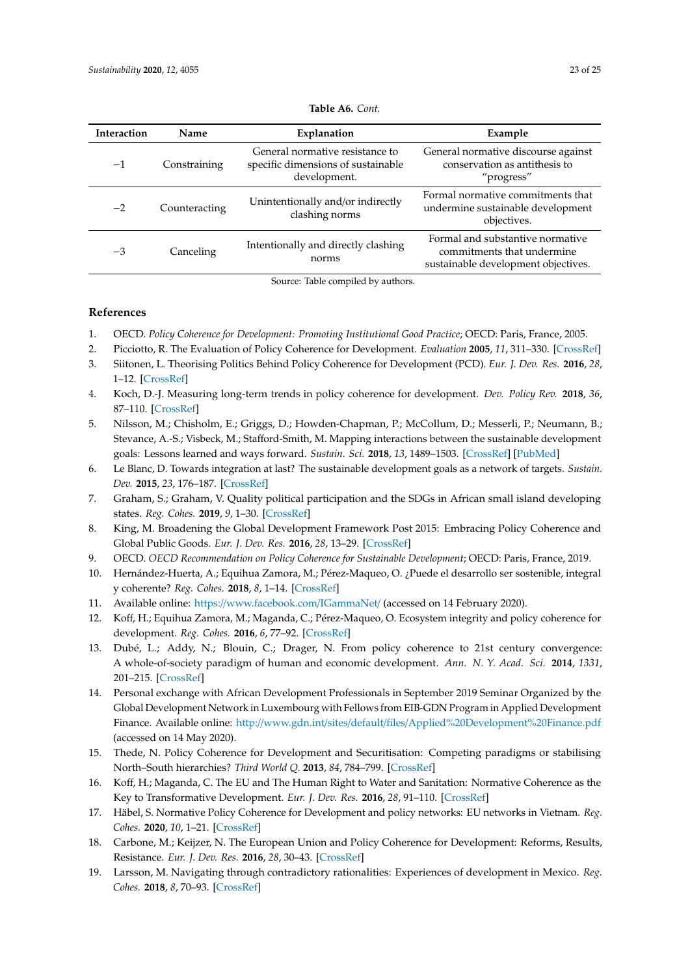<span id="page-22-19"></span>

| <b>Interaction</b> | Name          | Explanation                                                                           | Example                                                                                               |
|--------------------|---------------|---------------------------------------------------------------------------------------|-------------------------------------------------------------------------------------------------------|
| $-1$               | Constraining  | General normative resistance to<br>specific dimensions of sustainable<br>development. | General normative discourse against<br>conservation as antithesis to<br>"progress"                    |
| $-2$               | Counteracting | Unintentionally and/or indirectly<br>clashing norms                                   | Formal normative commitments that<br>undermine sustainable development<br>objectives.                 |
| $-3$               | Canceling     | Intentionally and directly clashing<br>norms                                          | Formal and substantive normative<br>commitments that undermine<br>sustainable development objectives. |

#### **Table A6.** *Cont.*

Source: Table compiled by authors.

#### **References**

- <span id="page-22-0"></span>1. OECD. *Policy Coherence for Development: Promoting Institutional Good Practice*; OECD: Paris, France, 2005.
- <span id="page-22-1"></span>2. Picciotto, R. The Evaluation of Policy Coherence for Development. *Evaluation* **2005**, *11*, 311–330. [\[CrossRef\]](http://dx.doi.org/10.1177/1356389005058479)
- <span id="page-22-2"></span>3. Siitonen, L. Theorising Politics Behind Policy Coherence for Development (PCD). *Eur. J. Dev. Res.* **2016**, *28*, 1–12. [\[CrossRef\]](http://dx.doi.org/10.1057/ejdr.2015.76)
- <span id="page-22-3"></span>4. Koch, D.-J. Measuring long-term trends in policy coherence for development. *Dev. Policy Rev.* **2018**, *36*, 87–110. [\[CrossRef\]](http://dx.doi.org/10.1111/dpr.12280)
- <span id="page-22-4"></span>5. Nilsson, M.; Chisholm, E.; Griggs, D.; Howden-Chapman, P.; McCollum, D.; Messerli, P.; Neumann, B.; Stevance, A.-S.; Visbeck, M.; Stafford-Smith, M. Mapping interactions between the sustainable development goals: Lessons learned and ways forward. *Sustain. Sci.* **2018**, *13*, 1489–1503. [\[CrossRef\]](http://dx.doi.org/10.1007/s11625-018-0604-z) [\[PubMed\]](http://www.ncbi.nlm.nih.gov/pubmed/30546483)
- <span id="page-22-5"></span>6. Le Blanc, D. Towards integration at last? The sustainable development goals as a network of targets. *Sustain. Dev.* **2015**, *23*, 176–187. [\[CrossRef\]](http://dx.doi.org/10.1002/sd.1582)
- <span id="page-22-6"></span>7. Graham, S.; Graham, V. Quality political participation and the SDGs in African small island developing states. *Reg. Cohes.* **2019**, *9*, 1–30. [\[CrossRef\]](http://dx.doi.org/10.3167/reco.2019.090202)
- <span id="page-22-7"></span>8. King, M. Broadening the Global Development Framework Post 2015: Embracing Policy Coherence and Global Public Goods. *Eur. J. Dev. Res.* **2016**, *28*, 13–29. [\[CrossRef\]](http://dx.doi.org/10.1057/ejdr.2015.75)
- <span id="page-22-8"></span>9. OECD. *OECD Recommendation on Policy Coherence for Sustainable Development*; OECD: Paris, France, 2019.
- <span id="page-22-9"></span>10. Hernández-Huerta, A.; Equihua Zamora, M.; Pérez-Maqueo, O. ¿Puede el desarrollo ser sostenible, integral y coherente? *Reg. Cohes.* **2018**, *8*, 1–14. [\[CrossRef\]](http://dx.doi.org/10.3167/reco.2018.080302)
- <span id="page-22-10"></span>11. Available online: https://[www.facebook.com](https://www.facebook.com/IGammaNet/)/IGammaNet/ (accessed on 14 February 2020).
- <span id="page-22-11"></span>12. Koff, H.; Equihua Zamora, M.; Maganda, C.; Pérez-Maqueo, O. Ecosystem integrity and policy coherence for development. *Reg. Cohes.* **2016**, *6*, 77–92. [\[CrossRef\]](http://dx.doi.org/10.3167/reco.2016.060304)
- <span id="page-22-12"></span>13. Dubé, L.; Addy, N.; Blouin, C.; Drager, N. From policy coherence to 21st century convergence: A whole-of-society paradigm of human and economic development. *Ann. N. Y. Acad. Sci.* **2014**, *1331*, 201–215. [\[CrossRef\]](http://dx.doi.org/10.1111/nyas.12511)
- <span id="page-22-13"></span>14. Personal exchange with African Development Professionals in September 2019 Seminar Organized by the Global Development Network in Luxembourg with Fellows from EIB-GDN Program in Applied Development Finance. Available online: http://www.gdn.int/sites/default/files/[Applied%20Development%20Finance.pdf](http://www.gdn.int/sites/default/files/Applied%20Development%20Finance.pdf) (accessed on 14 May 2020).
- <span id="page-22-14"></span>15. Thede, N. Policy Coherence for Development and Securitisation: Competing paradigms or stabilising North–South hierarchies? *Third World Q.* **2013**, *84*, 784–799. [\[CrossRef\]](http://dx.doi.org/10.1080/01436597.2013.800752)
- <span id="page-22-15"></span>16. Koff, H.; Maganda, C. The EU and The Human Right to Water and Sanitation: Normative Coherence as the Key to Transformative Development. *Eur. J. Dev. Res.* **2016**, *28*, 91–110. [\[CrossRef\]](http://dx.doi.org/10.1057/ejdr.2015.77)
- <span id="page-22-16"></span>17. Häbel, S. Normative Policy Coherence for Development and policy networks: EU networks in Vietnam. *Reg. Cohes.* **2020**, *10*, 1–21. [\[CrossRef\]](http://dx.doi.org/10.3167/reco.2020.100102)
- <span id="page-22-17"></span>18. Carbone, M.; Keijzer, N. The European Union and Policy Coherence for Development: Reforms, Results, Resistance. *Eur. J. Dev. Res.* **2016**, *28*, 30–43. [\[CrossRef\]](http://dx.doi.org/10.1057/ejdr.2015.72)
- <span id="page-22-18"></span>19. Larsson, M. Navigating through contradictory rationalities: Experiences of development in Mexico. *Reg. Cohes.* **2018**, *8*, 70–93. [\[CrossRef\]](http://dx.doi.org/10.3167/reco.2018.080305)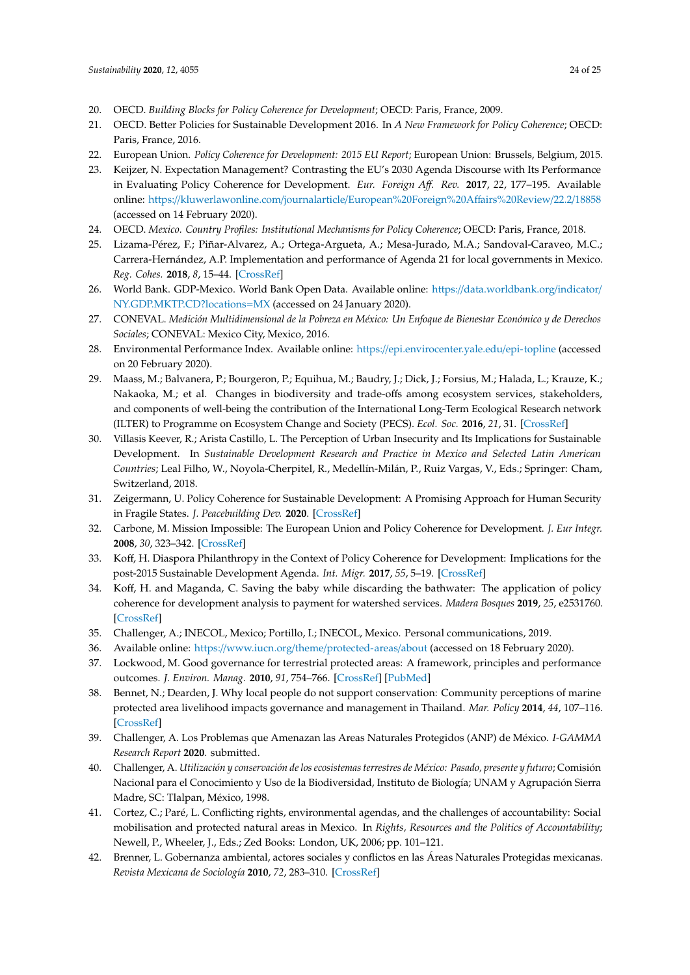- <span id="page-23-0"></span>20. OECD. *Building Blocks for Policy Coherence for Development*; OECD: Paris, France, 2009.
- <span id="page-23-1"></span>21. OECD. Better Policies for Sustainable Development 2016. In *A New Framework for Policy Coherence*; OECD: Paris, France, 2016.
- <span id="page-23-2"></span>22. European Union. *Policy Coherence for Development: 2015 EU Report*; European Union: Brussels, Belgium, 2015.
- <span id="page-23-3"></span>23. Keijzer, N. Expectation Management? Contrasting the EU's 2030 Agenda Discourse with Its Performance in Evaluating Policy Coherence for Development. *Eur. Foreign A*ff*. Rev.* **2017**, *22*, 177–195. Available online: https://kluwerlawonline.com/journalarticle/[European%20Foreign%20A](https://kluwerlawonline.com/journalarticle/European%20Foreign%20Affairs%20Review/22.2/18858)ffairs%20Review/22.2/18858 (accessed on 14 February 2020).
- <span id="page-23-4"></span>24. OECD. *Mexico. Country Profiles: Institutional Mechanisms for Policy Coherence*; OECD: Paris, France, 2018.
- <span id="page-23-5"></span>25. Lizama-Pérez, F.; Piñar-Alvarez, A.; Ortega-Argueta, A.; Mesa-Jurado, M.A.; Sandoval-Caraveo, M.C.; Carrera-Hernández, A.P. Implementation and performance of Agenda 21 for local governments in Mexico. *Reg. Cohes.* **2018**, *8*, 15–44. [\[CrossRef\]](http://dx.doi.org/10.3167/reco.2018.080303)
- <span id="page-23-6"></span>26. World Bank. GDP-Mexico. World Bank Open Data. Available online: https://[data.worldbank.org](https://data.worldbank.org/indicator/NY.GDP.MKTP.CD?locations=MX)/indicator/ [NY.GDP.MKTP.CD?locations](https://data.worldbank.org/indicator/NY.GDP.MKTP.CD?locations=MX)=MX (accessed on 24 January 2020).
- <span id="page-23-7"></span>27. CONEVAL. *Medición Multidimensional de la Pobreza en México: Un Enfoque de Bienestar Económico y de Derechos Sociales*; CONEVAL: Mexico City, Mexico, 2016.
- <span id="page-23-8"></span>28. Environmental Performance Index. Available online: https://[epi.envirocenter.yale.edu](https://epi.envirocenter.yale.edu/epi-topline)/epi-topline (accessed on 20 February 2020).
- <span id="page-23-9"></span>29. Maass, M.; Balvanera, P.; Bourgeron, P.; Equihua, M.; Baudry, J.; Dick, J.; Forsius, M.; Halada, L.; Krauze, K.; Nakaoka, M.; et al. Changes in biodiversity and trade-offs among ecosystem services, stakeholders, and components of well-being the contribution of the International Long-Term Ecological Research network (ILTER) to Programme on Ecosystem Change and Society (PECS). *Ecol. Soc.* **2016**, *21*, 31. [\[CrossRef\]](http://dx.doi.org/10.5751/ES-08587-210331)
- <span id="page-23-10"></span>30. Villasis Keever, R.; Arista Castillo, L. The Perception of Urban Insecurity and Its Implications for Sustainable Development. In *Sustainable Development Research and Practice in Mexico and Selected Latin American Countries*; Leal Filho, W., Noyola-Cherpitel, R., Medellín-Milán, P., Ruiz Vargas, V., Eds.; Springer: Cham, Switzerland, 2018.
- <span id="page-23-11"></span>31. Zeigermann, U. Policy Coherence for Sustainable Development: A Promising Approach for Human Security in Fragile States. *J. Peacebuilding Dev.* **2020**. [\[CrossRef\]](http://dx.doi.org/10.1177/1542316620909077)
- <span id="page-23-12"></span>32. Carbone, M. Mission Impossible: The European Union and Policy Coherence for Development. *J. Eur Integr.* **2008**, *30*, 323–342. [\[CrossRef\]](http://dx.doi.org/10.1080/07036330802144992)
- <span id="page-23-13"></span>33. Koff, H. Diaspora Philanthropy in the Context of Policy Coherence for Development: Implications for the post-2015 Sustainable Development Agenda. *Int. Migr.* **2017**, *55*, 5–19. [\[CrossRef\]](http://dx.doi.org/10.1111/imig.12277)
- <span id="page-23-14"></span>34. Koff, H. and Maganda, C. Saving the baby while discarding the bathwater: The application of policy coherence for development analysis to payment for watershed services. *Madera Bosques* **2019**, *25*, e2531760. [\[CrossRef\]](http://dx.doi.org/10.21829/myb.2019.2531760)
- <span id="page-23-15"></span>35. Challenger, A.; INECOL, Mexico; Portillo, I.; INECOL, Mexico. Personal communications, 2019.
- <span id="page-23-16"></span>36. Available online: https://www.iucn.org/theme/[protected-areas](https://www.iucn.org/theme/protected-areas/about)/about (accessed on 18 February 2020).
- <span id="page-23-17"></span>37. Lockwood, M. Good governance for terrestrial protected areas: A framework, principles and performance outcomes. *J. Environ. Manag.* **2010**, *91*, 754–766. [\[CrossRef\]](http://dx.doi.org/10.1016/j.jenvman.2009.10.005) [\[PubMed\]](http://www.ncbi.nlm.nih.gov/pubmed/19896262)
- <span id="page-23-18"></span>38. Bennet, N.; Dearden, J. Why local people do not support conservation: Community perceptions of marine protected area livelihood impacts governance and management in Thailand. *Mar. Policy* **2014**, *44*, 107–116. [\[CrossRef\]](http://dx.doi.org/10.1016/j.marpol.2013.08.017)
- <span id="page-23-19"></span>39. Challenger, A. Los Problemas que Amenazan las Areas Naturales Protegidos (ANP) de México. *I-GAMMA Research Report* **2020**. submitted.
- <span id="page-23-20"></span>40. Challenger, A. *Utilización y conservación de los ecosistemas terrestres de México: Pasado, presente y futuro*; Comisión Nacional para el Conocimiento y Uso de la Biodiversidad, Instituto de Biología; UNAM y Agrupación Sierra Madre, SC: Tlalpan, México, 1998.
- <span id="page-23-21"></span>41. Cortez, C.; Paré, L. Conflicting rights, environmental agendas, and the challenges of accountability: Social mobilisation and protected natural areas in Mexico. In *Rights, Resources and the Politics of Accountability*; Newell, P., Wheeler, J., Eds.; Zed Books: London, UK, 2006; pp. 101–121.
- <span id="page-23-22"></span>42. Brenner, L. Gobernanza ambiental, actores sociales y conflictos en las Áreas Naturales Protegidas mexicanas. *Revista Mexicana de Sociología* **2010**, *72*, 283–310. [\[CrossRef\]](http://dx.doi.org/10.2307/25677044)